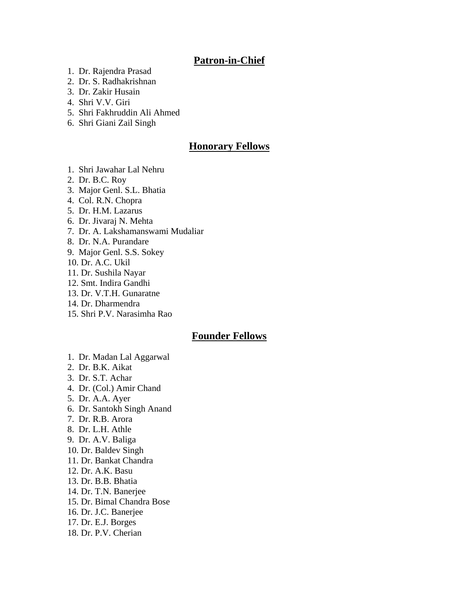## **Patron-in-Chief**

- 1. Dr. Rajendra Prasad
- 2. Dr. S. Radhakrishnan
- 3. Dr. Zakir Husain
- 4. Shri V.V. Giri
- 5. Shri Fakhruddin Ali Ahmed
- 6. Shri Giani Zail Singh

## **Honorary Fellows**

- 1. Shri Jawahar Lal Nehru
- 2. Dr. B.C. Roy
- 3. Major Genl. S.L. Bhatia
- 4. Col. R.N. Chopra
- 5. Dr. H.M. Lazarus
- 6. Dr. Jivaraj N. Mehta
- 7. Dr. A. Lakshamanswami Mudaliar
- 8. Dr. N.A. Purandare
- 9. Major Genl. S.S. Sokey
- 10. Dr. A.C. Ukil
- 11. Dr. Sushila Nayar
- 12. Smt. Indira Gandhi
- 13. Dr. V.T.H. Gunaratne
- 14. Dr. Dharmendra
- 15. Shri P.V. Narasimha Rao

## **Founder Fellows**

- 1. Dr. Madan Lal Aggarwal
- 2. Dr. B.K. Aikat
- 3. Dr. S.T. Achar
- 4. Dr. (Col.) Amir Chand
- 5. Dr. A.A. Ayer
- 6. Dr. Santokh Singh Anand
- 7. Dr. R.B. Arora
- 8. Dr. L.H. Athle
- 9. Dr. A.V. Baliga
- 10. Dr. Baldev Singh
- 11. Dr. Bankat Chandra
- 12. Dr. A.K. Basu
- 13. Dr. B.B. Bhatia
- 14. Dr. T.N. Banerjee
- 15. Dr. Bimal Chandra Bose
- 16. Dr. J.C. Banerjee
- 17. Dr. E.J. Borges
- 18. Dr. P.V. Cherian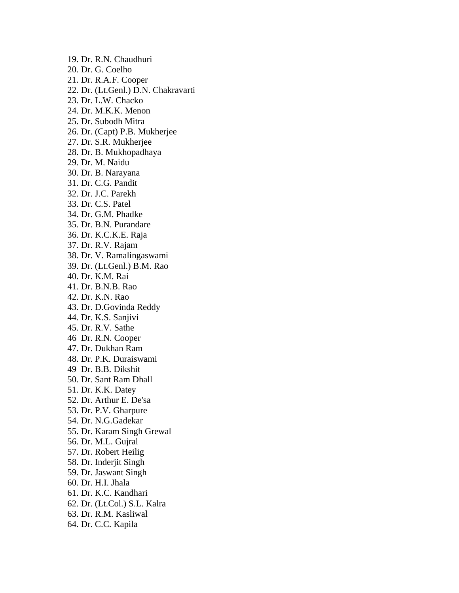19. Dr. R.N. Chaudhuri 20. Dr. G. Coelho 21. Dr. R.A.F. Cooper 22. Dr. (Lt.Genl.) D.N. Chakravarti 23. Dr. L.W. Chacko 24. Dr. M.K.K. Menon 25. Dr. Subodh Mitra 26. Dr. (Capt) P.B. Mukherjee 27. Dr. S.R. Mukherjee 28. Dr. B. Mukhopadhaya 29. Dr. M. Naidu 30. Dr. B. Narayana 31. Dr. C.G. Pandit 32. Dr. J.C. Parekh 33. Dr. C.S. Patel 34. Dr. G.M. Phadke 35. Dr. B.N. Purandare 36. Dr. K.C.K.E. Raja 37. Dr. R.V. Rajam 38. Dr. V. Ramalingaswami 39. Dr. (Lt.Genl.) B.M. Rao 40. Dr. K.M. Rai 41. Dr. B.N.B. Rao 42. Dr. K.N. Rao 43. Dr. D.Govinda Reddy 44. Dr. K.S. Sanjivi 45. Dr. R.V. Sathe 46 Dr. R.N. Cooper 47. Dr. Dukhan Ram 48. Dr. P.K. Duraiswami 49 Dr. B.B. Dikshit 50. Dr. Sant Ram Dhall 51. Dr. K.K. Datey 52. Dr. Arthur E. De'sa 53. Dr. P.V. Gharpure 54. Dr. N.G.Gadekar 55. Dr. Karam Singh Grewal 56. Dr. M.L. Gujral 57. Dr. Robert Heilig 58. Dr. Inderjit Singh 59. Dr. Jaswant Singh 60. Dr. H.I. Jhala 61. Dr. K.C. Kandhari 62. Dr. (Lt.Col.) S.L. Kalra 63. Dr. R.M. Kasliwal 64. Dr. C.C. Kapila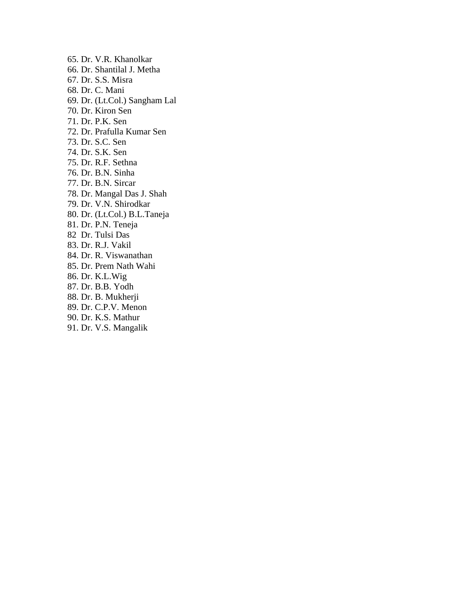65. Dr. V.R. Khanolkar 66. Dr. Shantilal J. Metha 67. Dr. S.S. Misra 68. Dr. C. Mani 69. Dr. (Lt.Col.) Sangham Lal 70. Dr. Kiron Sen 71. Dr. P.K. Sen 72. Dr. Prafulla Kumar Sen 73. Dr. S.C. Sen 74. Dr. S.K. Sen 75. Dr. R.F. Sethna 76. Dr. B.N. Sinha 77. Dr. B.N. Sircar 78. Dr. Mangal Das J. Shah 79. Dr. V.N. Shirodkar 80. Dr. (Lt.Col.) B.L.Taneja 81. Dr. P.N. Teneja 82 Dr. Tulsi Das 83. Dr. R.J. Vakil 84. Dr. R. Viswanathan 85. Dr. Prem Nath Wahi 86. Dr. K.L.Wig 87. Dr. B.B. Yodh 88. Dr. B. Mukherji 89. Dr. C.P.V. Menon 90. Dr. K.S. Mathur

91. Dr. V.S. Mangalik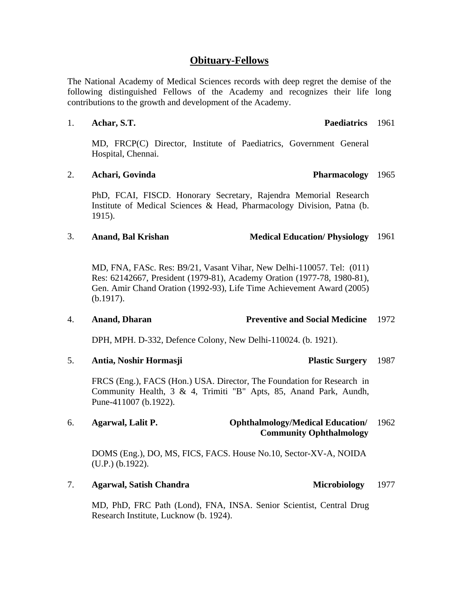## **Obituary-Fellows**

The National Academy of Medical Sciences records with deep regret the demise of the following distinguished Fellows of the Academy and recognizes their life long contributions to the growth and development of the Academy.

### 1. **Achar, S.T.**

MD, FRCP(C) Director, Institute of Paediatrics, Government General Hospital, Chennai.

### 2. **Achari, Govinda**

PhD, FCAI, FISCD. Honorary Secretary, Rajendra Memorial Research Institute of Medical Sciences & Head, Pharmacology Division, Patna (b. 1915).

### 3. **Anand, Bal Krishan Medical Education/ Physiology** 1961

MD, FNA, FASc. Res: B9/21, Vasant Vihar, New Delhi-110057. Tel: (011) Res: 62142667, President (1979-81), Academy Oration (1977-78, 1980-81), Gen. Amir Chand Oration (1992-93), Life Time Achievement Award (2005) (b.1917).

### 4. **Anand, Dharan Preventive and Social Medicine**  1972

DPH, MPH. D-332, Defence Colony, New Delhi-110024. (b. 1921).

5. **Antia, Noshir Hormasji Plastic Surgery** 

FRCS (Eng.), FACS (Hon.) USA. Director, The Foundation for Research in Community Health, 3 & 4, Trimiti "B" Apts, 85, Anand Park, Aundh, Pune-411007 (b.1922).

### 6. **Agarwal, Lalit P. Ophthalmology/Medical Education/ Community Ophthalmology**  1962

DOMS (Eng.), DO, MS, FICS, FACS. House No.10, Sector-XV-A, NOIDA (U.P.) (b.1922).

### 7. **Agarwal, Satish Chandra Microbiology Microbiology**

MD, PhD, FRC Path (Lond), FNA, INSA. Senior Scientist, Central Drug Research Institute, Lucknow (b. 1924).

1987

1977

Paediatrics 1961

### Pharmacology 1965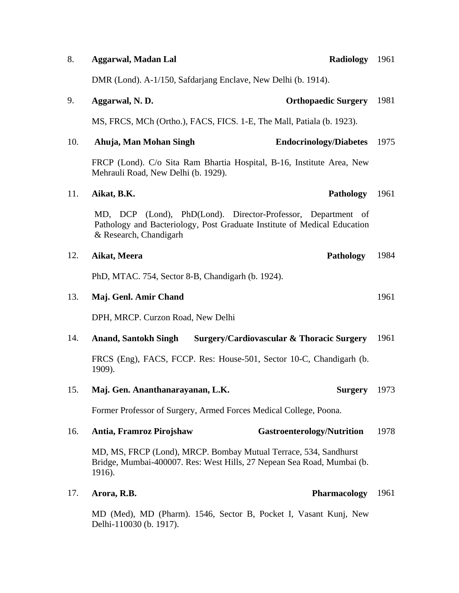| 8.  | <b>Aggarwal, Madan Lal</b><br>Radiology 1961                                                                                                                       |      |
|-----|--------------------------------------------------------------------------------------------------------------------------------------------------------------------|------|
|     | DMR (Lond). A-1/150, Safdarjang Enclave, New Delhi (b. 1914).                                                                                                      |      |
| 9.  | Aggarwal, N.D.<br><b>Orthopaedic Surgery</b>                                                                                                                       | 1981 |
|     | MS, FRCS, MCh (Ortho.), FACS, FICS. 1-E, The Mall, Patiala (b. 1923).                                                                                              |      |
| 10. | Ahuja, Man Mohan Singh<br><b>Endocrinology/Diabetes</b>                                                                                                            | 1975 |
|     | FRCP (Lond). C/o Sita Ram Bhartia Hospital, B-16, Institute Area, New<br>Mehrauli Road, New Delhi (b. 1929).                                                       |      |
| 11. | Aikat, B.K.<br><b>Pathology</b>                                                                                                                                    | 1961 |
|     | MD, DCP (Lond), PhD(Lond). Director-Professor, Department of<br>Pathology and Bacteriology, Post Graduate Institute of Medical Education<br>& Research, Chandigarh |      |
| 12. | Aikat, Meera<br><b>Pathology</b>                                                                                                                                   | 1984 |
|     | PhD, MTAC. 754, Sector 8-B, Chandigarh (b. 1924).                                                                                                                  |      |
| 13. | Maj. Genl. Amir Chand                                                                                                                                              | 1961 |
|     | DPH, MRCP. Curzon Road, New Delhi                                                                                                                                  |      |
| 14. | <b>Surgery/Cardiovascular &amp; Thoracic Surgery</b><br><b>Anand, Santokh Singh</b>                                                                                | 1961 |
|     | FRCS (Eng), FACS, FCCP. Res: House-501, Sector 10-C, Chandigarh (b.<br>1909).                                                                                      |      |
| 15. | Maj. Gen. Ananthanarayanan, L.K.<br><b>Surgery</b>                                                                                                                 | 1973 |
|     | Former Professor of Surgery, Armed Forces Medical College, Poona.                                                                                                  |      |
| 16. | <b>Gastroenterology/Nutrition</b><br>Antia, Framroz Pirojshaw                                                                                                      | 1978 |
|     | MD, MS, FRCP (Lond), MRCP. Bombay Mutual Terrace, 534, Sandhurst<br>Bridge, Mumbai-400007. Res: West Hills, 27 Nepean Sea Road, Mumbai (b.<br>1916).               |      |
| 17. | <b>Pharmacology</b><br>Arora, R.B.                                                                                                                                 | 1961 |
|     | MD (Med), MD (Pharm). 1546, Sector B, Pocket I, Vasant Kunj, New<br>Delhi-110030 (b. 1917).                                                                        |      |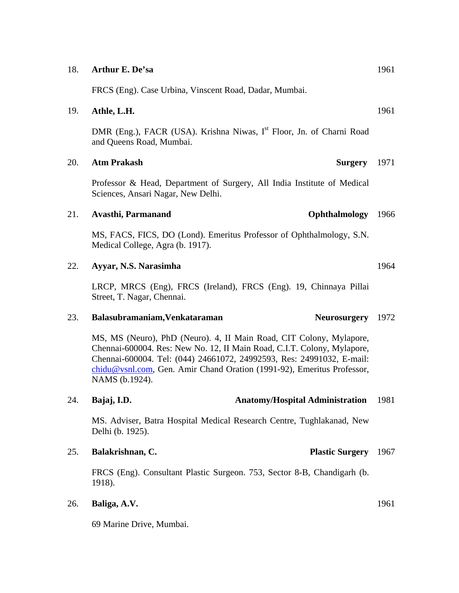|     | DIVIK (ENG.), FACK (USA). KHSHNA INWAS, I FIOOT, JN. OI CHAMI KOAC<br>and Queens Road, Mumbai.                                                                                                                                                                                                                      |      |
|-----|---------------------------------------------------------------------------------------------------------------------------------------------------------------------------------------------------------------------------------------------------------------------------------------------------------------------|------|
| 20. | <b>Atm Prakash</b><br><b>Surgery</b>                                                                                                                                                                                                                                                                                | 1971 |
|     | Professor & Head, Department of Surgery, All India Institute of Medical<br>Sciences, Ansari Nagar, New Delhi.                                                                                                                                                                                                       |      |
| 21. | Ophthalmology<br>Avasthi, Parmanand                                                                                                                                                                                                                                                                                 | 1966 |
|     | MS, FACS, FICS, DO (Lond). Emeritus Professor of Ophthalmology, S.N.<br>Medical College, Agra (b. 1917).                                                                                                                                                                                                            |      |
| 22. | Ayyar, N.S. Narasimha                                                                                                                                                                                                                                                                                               | 1964 |
|     | LRCP, MRCS (Eng), FRCS (Ireland), FRCS (Eng). 19, Chinnaya Pillai<br>Street, T. Nagar, Chennai.                                                                                                                                                                                                                     |      |
| 23. | <b>Neurosurgery</b><br>Balasubramaniam, Venkataraman                                                                                                                                                                                                                                                                | 1972 |
|     | MS, MS (Neuro), PhD (Neuro). 4, II Main Road, CIT Colony, Mylapore,<br>Chennai-600004. Res: New No. 12, II Main Road, C.I.T. Colony, Mylapore,<br>Chennai-600004. Tel: (044) 24661072, 24992593, Res: 24991032, E-mail:<br>chidu@vsnl.com, Gen. Amir Chand Oration (1991-92), Emeritus Professor,<br>NAMS (b.1924). |      |
| 24. | <b>Anatomy/Hospital Administration</b><br>Bajaj, I.D.                                                                                                                                                                                                                                                               | 1981 |
|     | MS. Adviser, Batra Hospital Medical Research Centre, Tughlakanad, New<br>Delhi (b. 1925).                                                                                                                                                                                                                           |      |
| 25. | Balakrishnan, C.<br><b>Plastic Surgery</b>                                                                                                                                                                                                                                                                          | 1967 |
|     | FRCS (Eng). Consultant Plastic Surgeon. 753, Sector 8-B, Chandigarh (b.<br>1918).                                                                                                                                                                                                                                   |      |
| 26. | Baliga, A.V.                                                                                                                                                                                                                                                                                                        | 1961 |
|     | 69 Marine Drive, Mumbai.                                                                                                                                                                                                                                                                                            |      |

## 18. **Arthur E. De'sa**

FRCS (Eng). Case Urbina, Vinscent Road, Dadar, Mumbai.

## 19. **Athle, L.H.**

DMR (Eng.), FACR (USA). Krishna Niwas, I<sup>st</sup> Floor. In. of Charni Road

## 1961

1961

# 1961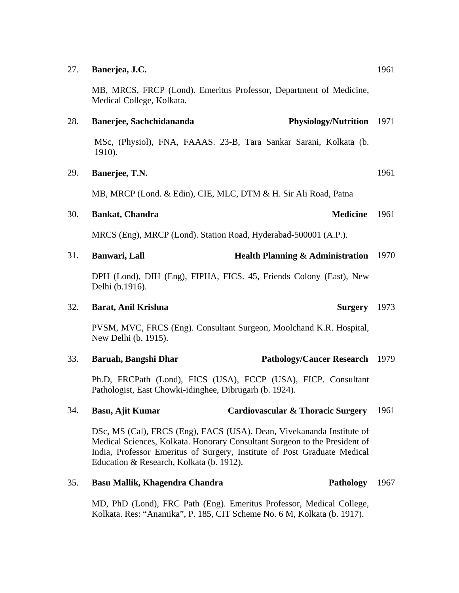### 27. **Banerjea, J.C.**

MB, MRCS, FRCP (Lond). Emeritus Professor, Department of Medicine, Medical College, Kolkata.

### 28. **Banerjee, Sachchidananda** Physiology/Nutrition 1971

MSc, (Physiol), FNA, FAAAS. 23-B, Tara Sankar Sarani, Kolkata (b. 1910).

## 29. **Banerjee, T.N.**

MB, MRCP (Lond. & Edin), CIE, MLC, DTM & H. Sir Ali Road, Patna

## 30. **Bankat, Chandra**

MRCS (Eng), MRCP (Lond). Station Road, Hyderabad-500001 (A.P.).

### 31. **Banwari, Lall <b>Health Planning & Administration** 1970

DPH (Lond), DIH (Eng), FIPHA, FICS. 45, Friends Colony (East), New Delhi (b.1916).

### 32. **Barat, Anil Krishna**

PVSM, MVC, FRCS (Eng). Consultant Surgeon, Moolchand K.R. Hospital, New Delhi (b. 1915).

### 33. **Baruah, Bangshi Dhar Pathology/Cancer Research**  1979

Ph.D, FRCPath (Lond), FICS (USA), FCCP (USA), FICP. Consultant Pathologist, East Chowki-idinghee, Dibrugarh (b. 1924).

### 34. **Basu, Ajit Kumar Cardiovascular & Thoracic Surgery**  1961

DSc, MS (Cal), FRCS (Eng), FACS (USA). Dean, Vivekananda Institute of Medical Sciences, Kolkata. Honorary Consultant Surgeon to the President of India, Professor Emeritus of Surgery, Institute of Post Graduate Medical Education & Research, Kolkata (b. 1912).

### 35. **Basu Mallik, Khagendra Chandra Pathology**

MD, PhD (Lond), FRC Path (Eng). Emeritus Professor, Medical College, Kolkata. Res: "Anamika", P. 185, CIT Scheme No. 6 M, Kolkata (b. 1917).

Medicine 1961

# 1961

**Surgery** 1973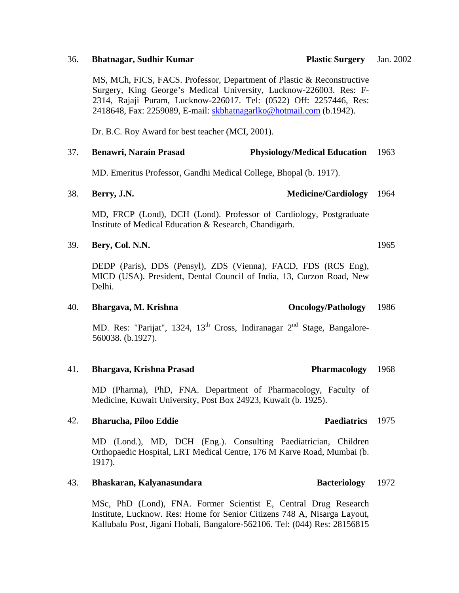### 36. **Bhatnagar, Sudhir Kumar Plastic Surgery**

MS, MCh, FICS, FACS. Professor, Department of Plastic & Reconstructive Surgery, King George's Medical University, Lucknow-226003. Res: F-2314, Rajaji Puram, Lucknow-226017. Tel: (0522) Off: 2257446, Res: 2418648, Fax: 2259089, E-mail: [skbhatnagarlko@hotmail.com](mailto:skbhatnagarlko@hotmail.com) (b.1942).

Dr. B.C. Roy Award for best teacher (MCI, 2001).

### 37. **Benawri, Narain Prasad Physiology/Medical Education**  1963

MD. Emeritus Professor, Gandhi Medical College, Bhopal (b. 1917).

### 38. **Berry, J.N. Medicine/Cardiology** 1964

MD, FRCP (Lond), DCH (Lond). Professor of Cardiology, Postgraduate Institute of Medical Education & Research, Chandigarh.

### 39. **Bery, Col. N.N.**

DEDP (Paris), DDS (Pensyl), ZDS (Vienna), FACD, FDS (RCS Eng), MICD (USA). President, Dental Council of India, 13, Curzon Road, New Delhi.

## 40. **Bhargava, M. Krishna Oncology/Pathology**

MD. Res: "Parijat", 1324,  $13<sup>th</sup>$  Cross, Indiranagar  $2<sup>nd</sup>$  Stage, Bangalore-560038. (b.1927).

### 41. **Bhargava, Krishna Prasad Pharmacology**

MD (Pharma), PhD, FNA. Department of Pharmacology, Faculty of Medicine, Kuwait University, Post Box 24923, Kuwait (b. 1925).

### 42. **Bharucha, Piloo Eddie**

MD (Lond.), MD, DCH (Eng.). Consulting Paediatrician, Children Orthopaedic Hospital, LRT Medical Centre, 176 M Karve Road, Mumbai (b. 1917).

### 43. **Bhaskaran, Kalyanasundara Bacteriology**

MSc, PhD (Lond), FNA. Former Scientist E, Central Drug Research Institute, Lucknow. Res: Home for Senior Citizens 748 A, Nisarga Layout, Kallubalu Post, Jigani Hobali, Bangalore-562106. Tel: (044) Res: 28156815

Jan. 2002

### Paediatrics 1975

## 1965

1986

1968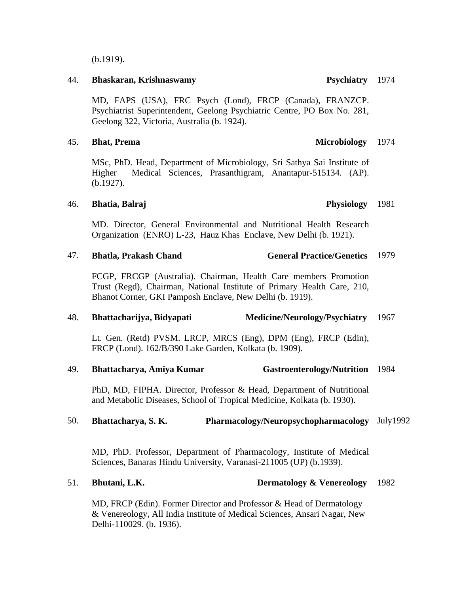(b.1919).

### 44. **Bhaskaran, Krishnaswamy**

MD, FAPS (USA), FRC Psych (Lond), FRCP (Canada), FRANZCP. Psychiatrist Superintendent, Geelong Psychiatric Centre, PO Box No. 281, Geelong 322, Victoria, Australia (b. 1924).

### 45. **Bhat, Prema Microbiology**  1974

MSc, PhD. Head, Department of Microbiology, Sri Sathya Sai Institute of Higher Medical Sciences, Prasanthigram, Anantapur-515134. (AP). (b.1927).

### 46. **Bhatia, Balraj**

MD. Director, General Environmental and Nutritional Health Research Organization (ENRO) L-23, Hauz Khas Enclave, New Delhi (b. 1921).

### 47. **Bhatla, Prakash Chand General Practice/Genetics** 1979

FCGP, FRCGP (Australia). Chairman, Health Care members Promotion Trust (Regd), Chairman, National Institute of Primary Health Care, 210, Bhanot Corner, GKI Pamposh Enclave, New Delhi (b. 1919).

### 48. **Bhattacharijya, Bidyapati Medicine/Neurology/Psychiatry**  1967

Lt. Gen. (Retd) PVSM. LRCP, MRCS (Eng), DPM (Eng), FRCP (Edin), FRCP (Lond). 162/B/390 Lake Garden, Kolkata (b. 1909).

49. **Bhattacharya, Amiya Kumar** Gastroenterology/Nutrition 1984

PhD, MD, FIPHA. Director, Professor & Head, Department of Nutritional and Metabolic Diseases, School of Tropical Medicine, Kolkata (b. 1930).

## 50. **Bhattacharya, S. K. Pharmacology/Neuropsychopharmacology**  July1992

MD, PhD. Professor, Department of Pharmacology, Institute of Medical Sciences, Banaras Hindu University, Varanasi-211005 (UP) (b.1939).

### 51. **Bhutani, L.K. Dermatology & Venereology** 1982

MD, FRCP (Edin). Former Director and Professor & Head of Dermatology & Venereology, All India Institute of Medical Sciences, Ansari Nagar, New Delhi-110029. (b. 1936).

### Physiology 1981

Psychiatry 1974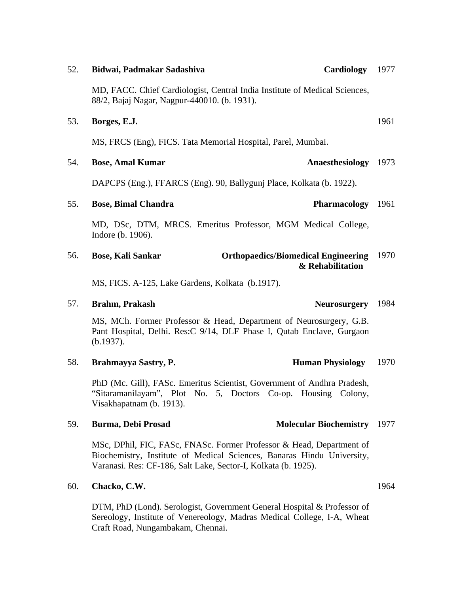| 52. | Cardiology<br>Bidwai, Padmakar Sadashiva                                                                                                                                                                         | 1977 |
|-----|------------------------------------------------------------------------------------------------------------------------------------------------------------------------------------------------------------------|------|
|     | MD, FACC. Chief Cardiologist, Central India Institute of Medical Sciences,<br>88/2, Bajaj Nagar, Nagpur-440010. (b. 1931).                                                                                       |      |
| 53. | Borges, E.J.                                                                                                                                                                                                     | 1961 |
|     | MS, FRCS (Eng), FICS. Tata Memorial Hospital, Parel, Mumbai.                                                                                                                                                     |      |
| 54. | Anaesthesiology<br><b>Bose, Amal Kumar</b>                                                                                                                                                                       | 1973 |
|     | DAPCPS (Eng.), FFARCS (Eng). 90, Ballygunj Place, Kolkata (b. 1922).                                                                                                                                             |      |
| 55. | Pharmacology 1961<br><b>Bose, Bimal Chandra</b>                                                                                                                                                                  |      |
|     | MD, DSc, DTM, MRCS. Emeritus Professor, MGM Medical College,<br>Indore (b. 1906).                                                                                                                                |      |
| 56. | <b>Orthopaedics/Biomedical Engineering</b><br><b>Bose, Kali Sankar</b><br>& Rehabilitation                                                                                                                       | 1970 |
|     | MS, FICS. A-125, Lake Gardens, Kolkata (b.1917).                                                                                                                                                                 |      |
| 57. | <b>Brahm, Prakash</b><br><b>Neurosurgery</b>                                                                                                                                                                     | 1984 |
|     | MS, MCh. Former Professor & Head, Department of Neurosurgery, G.B.<br>Pant Hospital, Delhi. Res:C 9/14, DLF Phase I, Qutab Enclave, Gurgaon<br>(b.1937).                                                         |      |
| 58. | Brahmayya Sastry, P.<br><b>Human Physiology</b>                                                                                                                                                                  | 1970 |
|     | PhD (Mc. Gill), FASc. Emeritus Scientist, Government of Andhra Pradesh,<br>"Sitaramanilayam", Plot No. 5, Doctors Co-op. Housing Colony,<br>Visakhapatnam (b. 1913).                                             |      |
| 59. | <b>Burma, Debi Prosad</b><br><b>Molecular Biochemistry</b>                                                                                                                                                       | 1977 |
|     | MSc, DPhil, FIC, FASc, FNASc. Former Professor & Head, Department of<br>Biochemistry, Institute of Medical Sciences, Banaras Hindu University,<br>Varanasi. Res: CF-186, Salt Lake, Sector-I, Kolkata (b. 1925). |      |
| 60. | Chacko, C.W.                                                                                                                                                                                                     | 1964 |

## 60. **Chacko, C.W.**

DTM, PhD (Lond). Serologist, Government General Hospital & Professor of Sereology, Institute of Venereology, Madras Medical College, I-A, Wheat Craft Road, Nungambakam, Chennai.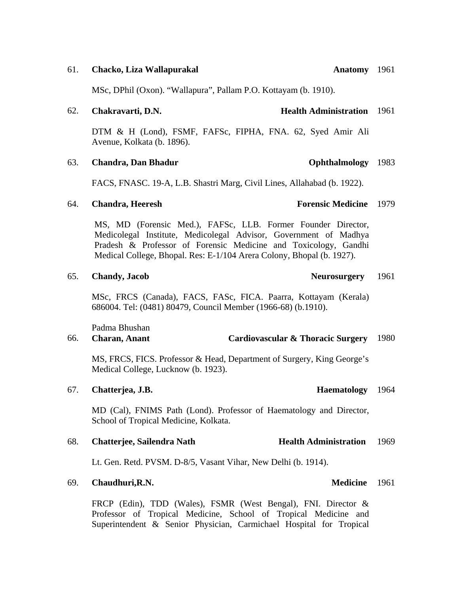## 61. **Chacko, Liza Wallapurakal**

MSc, DPhil (Oxon). "Wallapura", Pallam P.O. Kottayam (b. 1910).

## 62. **Chakravarti, D.N. Health Administration**  1961

DTM & H (Lond), FSMF, FAFSc, FIPHA, FNA. 62, Syed Amir Ali Avenue, Kolkata (b. 1896).

## 63. **Chandra, Dan Bhadur**

FACS, FNASC. 19-A, L.B. Shastri Marg, Civil Lines, Allahabad (b. 1922).

## 64. **Chandra, Heeresh**

MS, MD (Forensic Med.), FAFSc, LLB. Former Founder Director, Medicolegal Institute, Medicolegal Advisor, Government of Madhya Pradesh & Professor of Forensic Medicine and Toxicology, Gandhi Medical College, Bhopal. Res: E-1/104 Arera Colony, Bhopal (b. 1927).

## 65. **Chandy, Jacob Neurosurgery**

MSc, FRCS (Canada), FACS, FASc, FICA. Paarra, Kottayam (Kerala) 686004. Tel: (0481) 80479, Council Member (1966-68) (b.1910).

Padma Bhushan

### 66. **Charan, Anant Cardiovascular & Thoracic Surgery**  1980

MS, FRCS, FICS. Professor & Head, Department of Surgery, King George's Medical College, Lucknow (b. 1923).

### 67. **Chatterjea, J.B.**

MD (Cal), FNIMS Path (Lond). Professor of Haematology and Director, School of Tropical Medicine, Kolkata.

### 68. Chatterjee, Sailendra Nath **Health Administration** 1969

Lt. Gen. Retd. PVSM. D-8/5, Vasant Vihar, New Delhi (b. 1914).

### 69. **Chaudhuri, R.N.**

FRCP (Edin), TDD (Wales), FSMR (West Bengal), FNI. Director & Professor of Tropical Medicine, School of Tropical Medicine and Superintendent & Senior Physician, Carmichael Hospital for Tropical

**Forensic Medicine** 1979

**Ophthalmology** 1983

1961

Haematology 1964

Medicine 1961

Anatomy 1961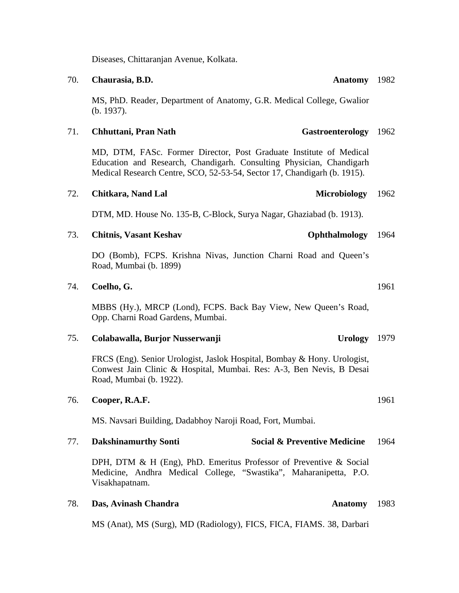Diseases, Chittaranjan Avenue, Kolkata.

### 70. **Chaurasia, B.D.**

MS, PhD. Reader, Department of Anatomy, G.R. Medical College, Gwalior (b. 1937).

### 71. **Chhuttani, Pran Nath**

MD, DTM, FASc. Former Director, Post Graduate Institute of Medical Education and Research, Chandigarh. Consulting Physician, Chandigarh Medical Research Centre, SCO, 52-53-54, Sector 17, Chandigarh (b. 1915).

## 72. **Chitkara, Nand Lal** Microbiology

DTM, MD. House No. 135-B, C-Block, Surya Nagar, Ghaziabad (b. 1913).

### 73. **Chitnis, Vasant Keshav Ophthalmology** 1964

DO (Bomb), FCPS. Krishna Nivas, Junction Charni Road and Queen's Road, Mumbai (b. 1899)

### 74. **Coelho, G.**

MBBS (Hy.), MRCP (Lond), FCPS. Back Bay View, New Queen's Road, Opp. Charni Road Gardens, Mumbai.

### 75. Colabawalla, Burjor Nusserwanji Urology 1979

FRCS (Eng). Senior Urologist, Jaslok Hospital, Bombay & Hony. Urologist, Conwest Jain Clinic & Hospital, Mumbai. Res: A-3, Ben Nevis, B Desai Road, Mumbai (b. 1922).

### 76. **Cooper, R.A.F.**

MS. Navsari Building, Dadabhoy Naroji Road, Fort, Mumbai.

### 77. **Dakshinamurthy Sonti Social & Preventive Medicine**  1964

DPH, DTM & H (Eng), PhD. Emeritus Professor of Preventive & Social Medicine, Andhra Medical College, "Swastika", Maharanipetta, P.O. Visakhapatnam.

### 78. **Das, Avinash Chandra**

MS (Anat), MS (Surg), MD (Radiology), FICS, FICA, FIAMS. 38, Darbari

1961

1962

Anatomy 1982

Gastroenterology 1962

Anatomy 1983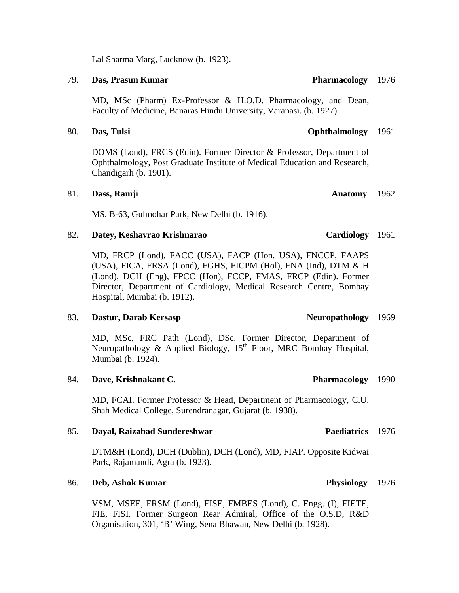Lal Sharma Marg, Lucknow (b. 1923).

### 79. **Das, Prasun Kumar Pharmacology**

MD, MSc (Pharm) Ex-Professor & H.O.D. Pharmacology, and Dean, Faculty of Medicine, Banaras Hindu University, Varanasi. (b. 1927).

DOMS (Lond), FRCS (Edin). Former Director & Professor, Department of Ophthalmology, Post Graduate Institute of Medical Education and Research, Chandigarh (b. 1901).

## 81. **Dass, Ramji**

MS. B-63, Gulmohar Park, New Delhi (b. 1916).

### 82. **Datey, Keshavrao Krishnarao**

MD, FRCP (Lond), FACC (USA), FACP (Hon. USA), FNCCP, FAAPS (USA), FICA, FRSA (Lond), FGHS, FICPM (Hol), FNA (Ind), DTM & H (Lond), DCH (Eng), FPCC (Hon), FCCP, FMAS, FRCP (Edin). Former Director, Department of Cardiology, Medical Research Centre, Bombay Hospital, Mumbai (b. 1912).

### 83. **Dastur, Darab Kersasp**

MD, MSc, FRC Path (Lond), DSc. Former Director, Department of Neuropathology & Applied Biology, 15<sup>th</sup> Floor, MRC Bombay Hospital, Mumbai (b. 1924).

### 84. **Dave, Krishnakant C.**

MD, FCAI. Former Professor & Head, Department of Pharmacology, C.U. Shah Medical College, Surendranagar, Gujarat (b. 1938).

### 85. **Dayal, Raizabad Sundereshwar**

DTM&H (Lond), DCH (Dublin), DCH (Lond), MD, FIAP. Opposite Kidwai Park, Rajamandi, Agra (b. 1923).

## 86. **Deb, Ashok Kumar Physiology**

VSM, MSEE, FRSM (Lond), FISE, FMBES (Lond), C. Engg. (I), FIETE, FIE, FISI. Former Surgeon Rear Admiral, Office of the O.S.D, R&D Organisation, 301, 'B' Wing, Sena Bhawan, New Delhi (b. 1928).

# Neuropathology 1969

Pharmacology 1990

## 80. **Das, Tulsi Ophthalmology**  1961

# Anatomy 1962

# Cardiology 1961

Paediatrics 1976

1976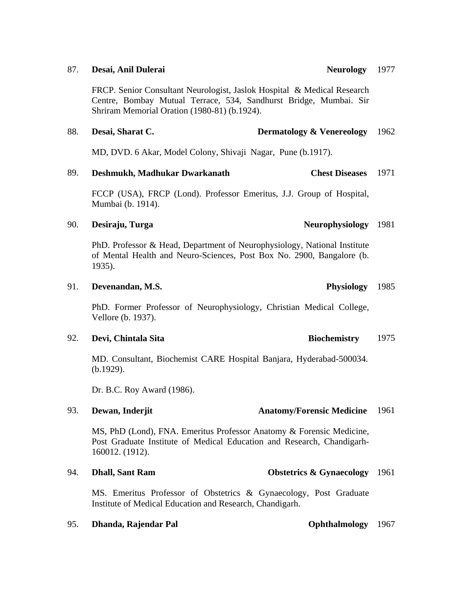## 87. **Desai, Anil Dulerai**

FRCP. Senior Consultant Neurologist, Jaslok Hospital & Medical Research Centre, Bombay Mutual Terrace, 534, Sandhurst Bridge, Mumbai. Sir Shriram Memorial Oration (1980-81) (b.1924).

### 88. **Desai, Sharat C. Dermatology & Venereology**  1962

MD, DVD. 6 Akar, Model Colony, Shivaji Nagar, Pune (b.1917).

### 89. **Deshmukh, Madhukar Dwarkanath Chest Diseases**  1971

FCCP (USA), FRCP (Lond). Professor Emeritus, J.J. Group of Hospital, Mumbai (b. 1914).

## 90. **Desiraju, Turga 1981 (Particular Proprietation Proprietation Proprietation Proprietation Proprietation Proprietation Proprietation Proprietation Proprietation Proprietation Proprietation Proprietation Proprietation Pr**

PhD. Professor & Head, Department of Neurophysiology, National Institute of Mental Health and Neuro-Sciences, Post Box No. 2900, Bangalore (b. 1935).

## 91. **Devenandan, M.S. Physiology**

PhD. Former Professor of Neurophysiology, Christian Medical College, Vellore (b. 1937).

## 92. **Devi, Chintala Sita Biochemistry**

MD. Consultant, Biochemist CARE Hospital Banjara, Hyderabad-500034. (b.1929).

Dr. B.C. Roy Award (1986).

## 93. **Dewan, Inderjit Anatomy/Forensic Medicine**

MS, PhD (Lond), FNA. Emeritus Professor Anatomy & Forensic Medicine, Post Graduate Institute of Medical Education and Research, Chandigarh-160012. (1912).

MS. Emeritus Professor of Obstetrics & Gynaecology, Post Graduate Institute of Medical Education and Research, Chandigarh.

## 95. **Dhanda, Rajendar Pal Ophthalmology** 1967

# 94. **Dhall, Sant Ram Obstetrics & Gynaecology** 1961

1975

1961

### Neurology 1977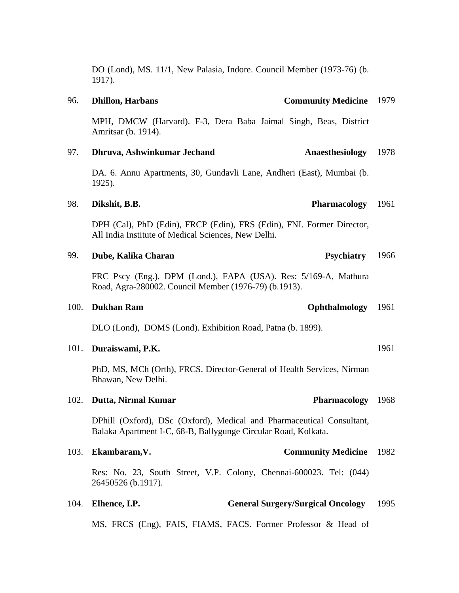|           |  |  | DO (Lond), MS. 11/1, New Palasia, Indore. Council Member (1973-76) (b. |  |
|-----------|--|--|------------------------------------------------------------------------|--|
| $1917$ ). |  |  |                                                                        |  |
|           |  |  |                                                                        |  |

## MPH, DMCW (Harvard). F-3, Dera Baba Jaimal Singh, Beas, District Amritsar (b. 1914).

### 97. **Dhruva, Ashwinkumar Jechand Anaesthesiology** 1978

DA. 6. Annu Apartments, 30, Gundavli Lane, Andheri (East), Mumbai (b. 1925).

### 98. **Dikshit, B.B. Pharmacology**

DPH (Cal), PhD (Edin), FRCP (Edin), FRS (Edin), FNI. Former Director, All India Institute of Medical Sciences, New Delhi.

### 99. **Dube, Kalika Charan Psychiatry** *Psychiatry* 1966

FRC Pscy (Eng.), DPM (Lond.), FAPA (USA). Res: 5/169-A, Mathura Road, Agra-280002. Council Member (1976-79) (b.1913).

### 100. **Dukhan Ram Company Company Company Company Company Company Company Company Company Company Company Company Company Company Company Company Company Company Company Company Company Company Company Company Company Compa**

DLO (Lond), DOMS (Lond). Exhibition Road, Patna (b. 1899).

### 101. **Duraiswami, P.K.**

PhD, MS, MCh (Orth), FRCS. Director-General of Health Services, Nirman Bhawan, New Delhi.

### 102. **Dutta, Nirmal Kumar**

DPhill (Oxford), DSc (Oxford), Medical and Pharmaceutical Consultant, Balaka Apartment I-C, 68-B, Ballygunge Circular Road, Kolkata.

## 103. **Ekambaram,V. Community Medicine**  1982

Res: No. 23, South Street, V.P. Colony, Chennai-600023. Tel: (044) 26450526 (b.1917).

### 104. **Elhence, I.P. General Surgery/Surgical Oncology**  1995

MS, FRCS (Eng), FAIS, FIAMS, FACS. Former Professor & Head of

## 96. **Dhillon, Harbans Community Medicine**  1979

# Pharmacology 1968

1961

1961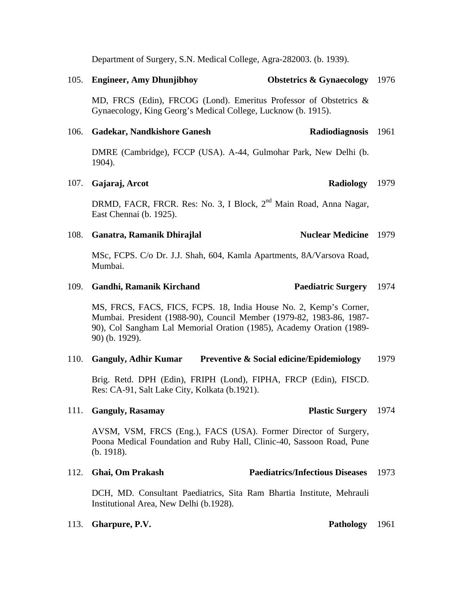Department of Surgery, S.N. Medical College, Agra-282003. (b. 1939).

105. **Engineer, Amy Dhunjibhoy Obstetrics & Gynaecology** 1976

MD, FRCS (Edin), FRCOG (Lond). Emeritus Professor of Obstetrics & Gynaecology, King Georg's Medical College, Lucknow (b. 1915).

### 106. **Gadekar, Nandkishore Ganesh** Radiodiagnosis 1961

DMRE (Cambridge), FCCP (USA). A-44, Gulmohar Park, New Delhi (b. 1904).

### 107. **Gajaraj, Arcot Radiology**

DRMD, FACR, FRCR. Res: No. 3, I Block, 2<sup>nd</sup> Main Road, Anna Nagar, East Chennai (b. 1925).

### 108. **Ganatra, Ramanik Dhirajlal Nuclear Medicine** 1979

MSc, FCPS. C/o Dr. J.J. Shah, 604, Kamla Apartments, 8A/Varsova Road, Mumbai.

### 109. **Gandhi, Ramanik Kirchand Paediatric Surgery** 1974

MS, FRCS, FACS, FICS, FCPS. 18, India House No. 2, Kemp's Corner, Mumbai. President (1988-90), Council Member (1979-82, 1983-86, 1987- 90), Col Sangham Lal Memorial Oration (1985), Academy Oration (1989- 90) (b. 1929).

### 110. **Ganguly, Adhir Kumar Preventive & Social edicine/Epidemiology**  1979

Brig. Retd. DPH (Edin), FRIPH (Lond), FIPHA, FRCP (Edin), FISCD. Res: CA-91, Salt Lake City, Kolkata (b.1921).

### 111. **Ganguly, Rasamay**

AVSM, VSM, FRCS (Eng.), FACS (USA). Former Director of Surgery, Poona Medical Foundation and Ruby Hall, Clinic-40, Sassoon Road, Pune (b. 1918).

## 112. **Ghai, Om Prakash Paediatrics/Infectious Diseases**  1973

DCH, MD. Consultant Paediatrics, Sita Ram Bhartia Institute, Mehrauli Institutional Area, New Delhi (b.1928).

**Plastic Surgery** 1974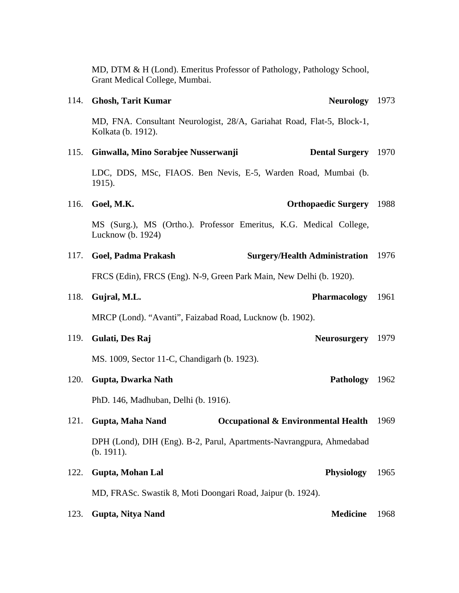|      | Grant Medical College, Mumbai.                                                               |      |
|------|----------------------------------------------------------------------------------------------|------|
| 114. | Neurology 1973<br><b>Ghosh, Tarit Kumar</b>                                                  |      |
|      | MD, FNA. Consultant Neurologist, 28/A, Gariahat Road, Flat-5, Block-1,<br>Kolkata (b. 1912). |      |
| 115. | Ginwalla, Mino Sorabjee Nusserwanji<br><b>Dental Surgery</b> 1970                            |      |
|      | LDC, DDS, MSc, FIAOS. Ben Nevis, E-5, Warden Road, Mumbai (b.<br>1915).                      |      |
| 116. | Goel, M.K.<br><b>Orthopaedic Surgery</b>                                                     | 1988 |
|      | MS (Surg.), MS (Ortho.). Professor Emeritus, K.G. Medical College,<br>Lucknow (b. 1924)      |      |
| 117. | Goel, Padma Prakash<br><b>Surgery/Health Administration</b>                                  | 1976 |
|      | FRCS (Edin), FRCS (Eng). N-9, Green Park Main, New Delhi (b. 1920).                          |      |
| 118. | <b>Pharmacology</b><br>Gujral, M.L.                                                          | 1961 |
|      | MRCP (Lond). "Avanti", Faizabad Road, Lucknow (b. 1902).                                     |      |
| 119. | Gulati, Des Raj<br><b>Neurosurgery</b>                                                       | 1979 |
|      | MS. 1009, Sector 11-C, Chandigarh (b. 1923).                                                 |      |
| 120. | <b>Pathology</b><br>Gupta, Dwarka Nath                                                       | 1962 |
|      | PhD. 146, Madhuban, Delhi (b. 1916).                                                         |      |
| 121. | Gupta, Maha Nand<br><b>Occupational &amp; Environmental Health</b>                           | 1969 |
|      | DPH (Lond), DIH (Eng). B-2, Parul, Apartments-Navrangpura, Ahmedabad<br>(b. 1911).           |      |
| 122. | <b>Physiology</b><br>Gupta, Mohan Lal                                                        | 1965 |
|      | MD, FRASc. Swastik 8, Moti Doongari Road, Jaipur (b. 1924).                                  |      |
| 123. | Gupta, Nitya Nand<br><b>Medicine</b>                                                         | 1968 |

MD, DTM & H (Lond). Emeritus Professor of Pathology, Pathology School,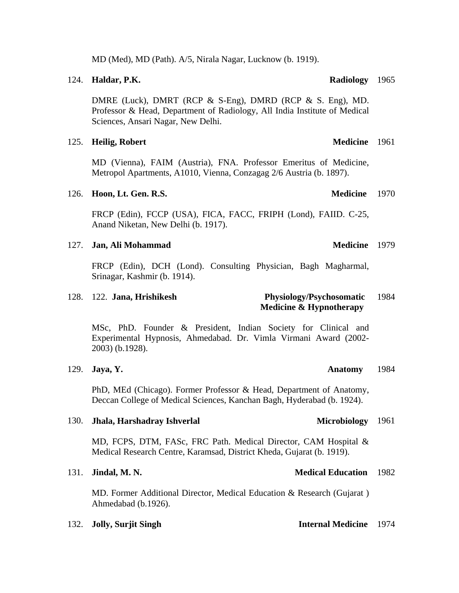MD (Med), MD (Path). A/5, Nirala Nagar, Lucknow (b. 1919).

DMRE (Luck), DMRT (RCP & S-Eng), DMRD (RCP & S. Eng), MD. Professor & Head, Department of Radiology, All India Institute of Medical Sciences, Ansari Nagar, New Delhi.

### 125. **Heilig, Robert**

MD (Vienna), FAIM (Austria), FNA. Professor Emeritus of Medicine, Metropol Apartments, A1010, Vienna, Conzagag 2/6 Austria (b. 1897).

### 126. **Hoon, Lt. Gen. R.S.**

FRCP (Edin), FCCP (USA), FICA, FACC, FRIPH (Lond), FAIID. C-25, Anand Niketan, New Delhi (b. 1917).

### 127. **Jan, Ali Mohammad**

FRCP (Edin), DCH (Lond). Consulting Physician, Bagh Magharmal, Srinagar, Kashmir (b. 1914).

### 128. 122. **Jana, Hrishikesh Physiology/Psychosomatic Medicine & Hypnotherapy**  1984

MSc, PhD. Founder & President, Indian Society for Clinical and Experimental Hypnosis, Ahmedabad. Dr. Vimla Virmani Award (2002- 2003) (b.1928).

### 129. **Jaya, Y. Anatomy**

PhD, MEd (Chicago). Former Professor & Head, Department of Anatomy, Deccan College of Medical Sciences, Kanchan Bagh, Hyderabad (b. 1924).

### 130. **Jhala, Harshadray Ishverlal** Microbiology 1961

MD, FCPS, DTM, FASc, FRC Path. Medical Director, CAM Hospital & Medical Research Centre, Karamsad, District Kheda, Gujarat (b. 1919).

### 131. **Jindal, M. N.**

MD. Former Additional Director, Medical Education & Research (Gujarat ) Ahmedabad (b.1926).

| 132. Jolly, Surjit Singh | <b>Internal Medicine</b> 1974 |  |
|--------------------------|-------------------------------|--|
|                          |                               |  |

## 124. **Haldar, P.K.**

Medicine 1979

## 1984

**Medical Education** 1982

# Medicine 1961

Medicine 1970

Radiology 1965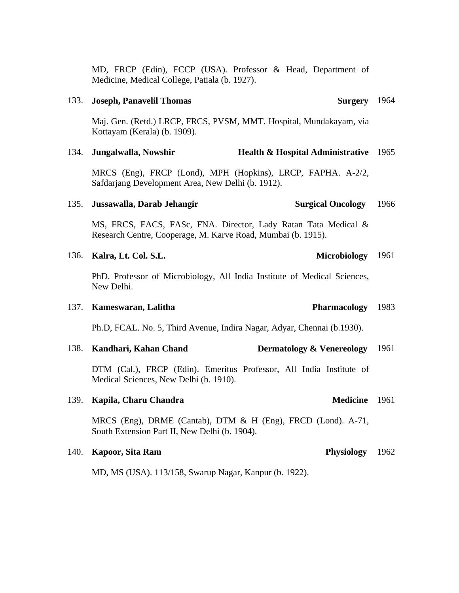MD, FRCP (Edin), FCCP (USA). Professor & Head, Department of Medicine, Medical College, Patiala (b. 1927).

### 133. **Joseph, Panavelil Thomas**

Maj. Gen. (Retd.) LRCP, FRCS, PVSM, MMT. Hospital, Mundakayam, via Kottayam (Kerala) (b. 1909).

### 134. **Jungalwalla, Nowshir Health & Hospital Administrative** 1965

MRCS (Eng), FRCP (Lond), MPH (Hopkins), LRCP, FAPHA. A-2/2, Safdarjang Development Area, New Delhi (b. 1912).

### 135. **Jussawalla, Darab Jehangir Surgical Oncology**  1966

MS, FRCS, FACS, FASc, FNA. Director, Lady Ratan Tata Medical & Research Centre, Cooperage, M. Karve Road, Mumbai (b. 1915).

| 136. Kalra, Lt. Col. S.L. | Microbiology 1961 |  |
|---------------------------|-------------------|--|
|                           |                   |  |

PhD. Professor of Microbiology, All India Institute of Medical Sciences, New Delhi.

### 137. **Kameswaran, Lalitha** Pharmacology 1983

Ph.D, FCAL. No. 5, Third Avenue, Indira Nagar, Adyar, Chennai (b.1930).

| 138. Kandhari, Kahan Chand | <b>Dermatology &amp; Venereology</b> 1961 |  |
|----------------------------|-------------------------------------------|--|
|                            |                                           |  |

DTM (Cal.), FRCP (Edin). Emeritus Professor, All India Institute of Medical Sciences, New Delhi (b. 1910).

### 139. **Kapila, Charu Chandra**

MRCS (Eng), DRME (Cantab), DTM & H (Eng), FRCD (Lond). A-71, South Extension Part II, New Delhi (b. 1904).

### 140. **Kapoor, Sita Ram**

MD, MS (USA). 113/158, Swarup Nagar, Kanpur (b. 1922).

Medicine 1961

# Surgery 1964

Physiology 1962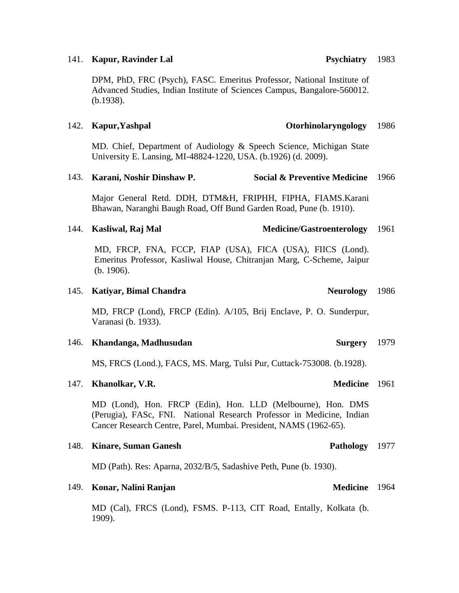### 141. **Kapur, Ravinder Lal**

DPM, PhD, FRC (Psych), FASC. Emeritus Professor, National Institute of Advanced Studies, Indian Institute of Sciences Campus, Bangalore-560012. (b.1938).

### 142. **Kapur,Yashpal Otorhinolaryngology**

MD. Chief, Department of Audiology & Speech Science, Michigan State University E. Lansing, MI-48824-1220, USA. (b.1926) (d. 2009).

### 143. **Karani, Noshir Dinshaw P. Social & Preventive Medicine** 1966

Major General Retd. DDH, DTM&H, FRIPHH, FIPHA, FIAMS.Karani Bhawan, Naranghi Baugh Road, Off Bund Garden Road, Pune (b. 1910).

### 144. **Kasliwal, Raj Mal Medicine/Gastroenterology**  1961

MD, FRCP, FNA, FCCP, FIAP (USA), FICA (USA), FIICS (Lond). Emeritus Professor, Kasliwal House, Chitranjan Marg, C-Scheme, Jaipur (b. 1906).

### 145. **Katiyar, Bimal Chandra Neurology**

MD, FRCP (Lond), FRCP (Edin). A/105, Brij Enclave, P. O. Sunderpur, Varanasi (b. 1933).

### 146. **Khandanga, Madhusudan**

MS, FRCS (Lond.), FACS, MS. Marg, Tulsi Pur, Cuttack-753008. (b.1928).

### 147. **Khanolkar, V.R.**

MD (Lond), Hon. FRCP (Edin), Hon. LLD (Melbourne), Hon. DMS (Perugia), FASc, FNI. National Research Professor in Medicine, Indian Cancer Research Centre, Parel, Mumbai. President, NAMS (1962-65).

### 148. **Kinare, Suman Ganesh**

MD (Path). Res: Aparna, 2032/B/5, Sadashive Peth, Pune (b. 1930).

### 149. **Konar, Nalini Ranjan**

MD (Cal), FRCS (Lond), FSMS. P-113, CIT Road, Entally, Kolkata (b. 1909).

1986

**Surgery** 1979

1986

### Medicine 1961

Medicine 1964

Pathology 1977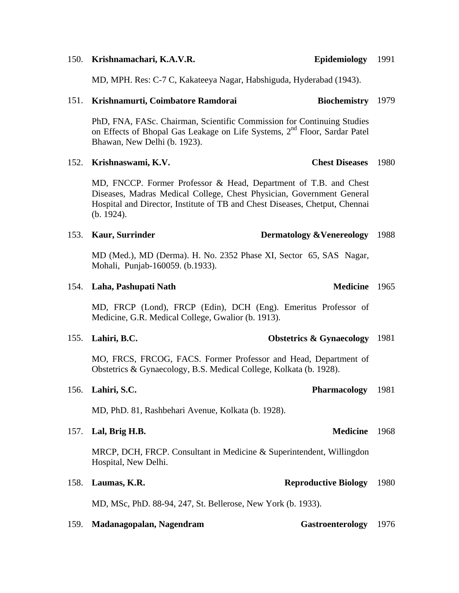MD, MPH. Res: C-7 C, Kakateeya Nagar, Habshiguda, Hyderabad (1943).

### 151. **Krishnamurti, Coimbatore Ramdorai** Biochemistry 1979

PhD, FNA, FASc. Chairman, Scientific Commission for Continuing Studies on Effects of Bhopal Gas Leakage on Life Systems, 2<sup>nd</sup> Floor, Sardar Patel Bhawan, New Delhi (b. 1923).

152. **Krishnaswami, K.V.** 

MD, FNCCP. Former Professor & Head, Department of T.B. and Chest Diseases, Madras Medical College, Chest Physician, Government General Hospital and Director, Institute of TB and Chest Diseases, Chetput, Chennai (b. 1924).

## 153. **Kaur, Surrinder Dermatology &Venereology**  1988

MD (Med.), MD (Derma). H. No. 2352 Phase XI, Sector 65, SAS Nagar, Mohali, Punjab-160059. (b.1933).

## 154. Laha, Pashupati Nath

MD, FRCP (Lond), FRCP (Edin), DCH (Eng). Emeritus Professor of Medicine, G.R. Medical College, Gwalior (b. 1913).

| 155. Lahiri, B.C. |  |  | <b>Obstetrics &amp; Gynaecology</b> 1981 |  |
|-------------------|--|--|------------------------------------------|--|
|-------------------|--|--|------------------------------------------|--|

MO, FRCS, FRCOG, FACS. Former Professor and Head, Department of Obstetrics & Gynaecology, B.S. Medical College, Kolkata (b. 1928).

| 156. Lahiri, S.C.<br>Pharmacology 1981 |  |
|----------------------------------------|--|
|----------------------------------------|--|

MD, PhD. 81, Rashbehari Avenue, Kolkata (b. 1928).

| 157. Lal, Brig H.B. | Medicine 1968 |  |
|---------------------|---------------|--|
|                     |               |  |

MRCP, DCH, FRCP. Consultant in Medicine & Superintendent, Willingdon Hospital, New Delhi.

## 158. **Laumas, K.R. Reproductive Biology**  1980

MD, MSc, PhD. 88-94, 247, St. Bellerose, New York (b. 1933).

| 159. | Madanagopalan, Nagendram | Gastroenterology 1976 |  |
|------|--------------------------|-----------------------|--|
|      |                          |                       |  |

## 150. **Krishnamachari, K.A.V.R.**

Medicine 1965

Epidemiology 1991

**Chest Diseases** 1980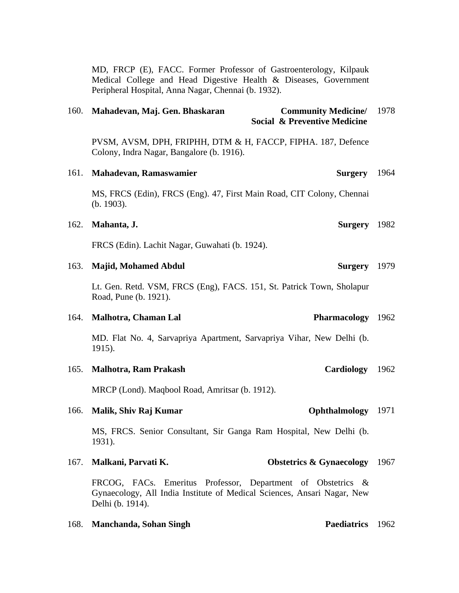MD, FRCP (E), FACC. Former Professor of Gastroenterology, Kilpauk Medical College and Head Digestive Health & Diseases, Government Peripheral Hospital, Anna Nagar, Chennai (b. 1932).

| 160. | Mahadevan, Maj. Gen. Bhaskaran                                                                                                                             | <b>Community Medicine/</b><br><b>Social &amp; Preventive Medicine</b> | 1978 |
|------|------------------------------------------------------------------------------------------------------------------------------------------------------------|-----------------------------------------------------------------------|------|
|      | PVSM, AVSM, DPH, FRIPHH, DTM & H, FACCP, FIPHA. 187, Defence<br>Colony, Indra Nagar, Bangalore (b. 1916).                                                  |                                                                       |      |
| 161. | Mahadevan, Ramaswamier                                                                                                                                     | <b>Surgery</b>                                                        | 1964 |
|      | MS, FRCS (Edin), FRCS (Eng). 47, First Main Road, CIT Colony, Chennai<br>(b. 1903).                                                                        |                                                                       |      |
| 162. | Mahanta, J.                                                                                                                                                | <b>Surgery</b>                                                        | 1982 |
|      | FRCS (Edin). Lachit Nagar, Guwahati (b. 1924).                                                                                                             |                                                                       |      |
| 163. | <b>Majid, Mohamed Abdul</b>                                                                                                                                | <b>Surgery</b>                                                        | 1979 |
|      | Lt. Gen. Retd. VSM, FRCS (Eng), FACS. 151, St. Patrick Town, Sholapur<br>Road, Pune (b. 1921).                                                             |                                                                       |      |
| 164. | Malhotra, Chaman Lal                                                                                                                                       | Pharmacology 1962                                                     |      |
|      | MD. Flat No. 4, Sarvapriya Apartment, Sarvapriya Vihar, New Delhi (b.<br>1915).                                                                            |                                                                       |      |
| 165. | <b>Malhotra, Ram Prakash</b>                                                                                                                               | <b>Cardiology</b>                                                     | 1962 |
|      | MRCP (Lond). Maqbool Road, Amritsar (b. 1912).                                                                                                             |                                                                       |      |
| 166. | Malik, Shiv Raj Kumar                                                                                                                                      | Ophthalmology                                                         | 1971 |
|      | MS, FRCS. Senior Consultant, Sir Ganga Ram Hospital, New Delhi (b.<br>1931).                                                                               |                                                                       |      |
| 167. | Malkani, Parvati K.                                                                                                                                        | <b>Obstetrics &amp; Gynaecology</b> 1967                              |      |
|      | FRCOG, FACs. Emeritus Professor, Department of Obstetrics &<br>Gynaecology, All India Institute of Medical Sciences, Ansari Nagar, New<br>Delhi (b. 1914). |                                                                       |      |
| 168. | <b>Manchanda, Sohan Singh</b>                                                                                                                              | Paediatrics 1962                                                      |      |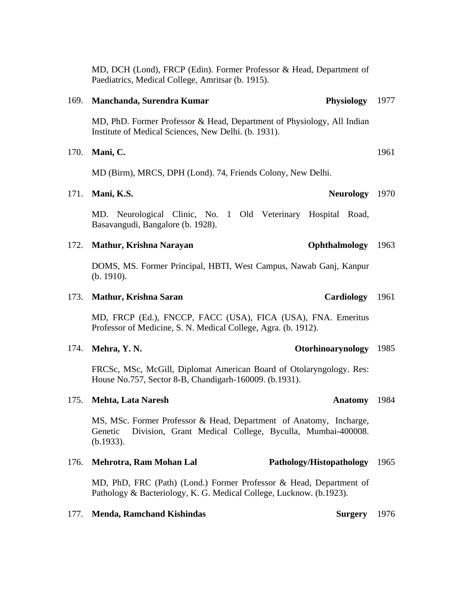|      | MD, DCH (Lond), FRCP (Edin). Former Professor & Head, Department of<br>Paediatrics, Medical College, Amritsar (b. 1915).                               |      |
|------|--------------------------------------------------------------------------------------------------------------------------------------------------------|------|
| 169. | Manchanda, Surendra Kumar<br><b>Physiology</b>                                                                                                         | 1977 |
|      | MD, PhD. Former Professor & Head, Department of Physiology, All Indian<br>Institute of Medical Sciences, New Delhi. (b. 1931).                         |      |
| 170. | Mani, C.                                                                                                                                               | 1961 |
|      | MD (Birm), MRCS, DPH (Lond). 74, Friends Colony, New Delhi.                                                                                            |      |
| 171. | Mani, K.S.<br>Neurology 1970                                                                                                                           |      |
|      | MD. Neurological Clinic, No. 1 Old Veterinary Hospital Road,<br>Basavangudi, Bangalore (b. 1928).                                                      |      |
| 172. | Mathur, Krishna Narayan<br>Ophthalmology                                                                                                               | 1963 |
|      | DOMS, MS. Former Principal, HBTI, West Campus, Nawab Ganj, Kanpur<br>(b. 1910).                                                                        |      |
| 173. | <b>Cardiology</b><br><b>Mathur, Krishna Saran</b>                                                                                                      | 1961 |
|      | MD, FRCP (Ed.), FNCCP, FACC (USA), FICA (USA), FNA. Emeritus<br>Professor of Medicine, S. N. Medical College, Agra. (b. 1912).                         |      |
| 174. | Otorhinoarynology<br>Mehra, Y.N.                                                                                                                       | 1985 |
|      | FRCSc, MSc, McGill, Diplomat American Board of Otolaryngology. Res:<br>House No.757, Sector 8-B, Chandigarh-160009. (b.1931).                          |      |
|      | 175. Mehta, Lata Naresh<br>Anatomy 1984                                                                                                                |      |
|      | MS, MSc. Former Professor & Head, Department of Anatomy, Incharge,<br>Division, Grant Medical College, Byculla, Mumbai-400008.<br>Genetic<br>(b.1933). |      |
| 176. | Mehrotra, Ram Mohan Lal<br>Pathology/Histopathology                                                                                                    | 1965 |
|      | MD, PhD, FRC (Path) (Lond.) Former Professor & Head, Department of<br>Pathology & Bacteriology, K. G. Medical College, Lucknow. (b.1923).              |      |
| 177. | <b>Menda, Ramchand Kishindas</b><br><b>Surgery</b>                                                                                                     | 1976 |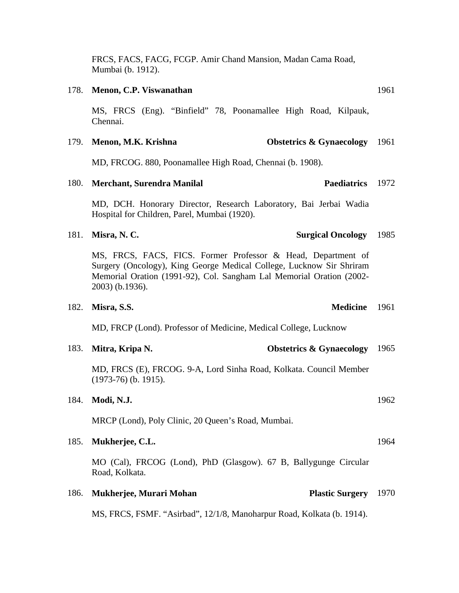FRCS, FACS, FACG, FCGP. Amir Chand Mansion, Madan Cama Road, Mumbai (b. 1912).

### 178. **Menon, C.P. Viswanathan**

MS, FRCS (Eng). "Binfield" 78, Poonamallee High Road, Kilpauk, Chennai.

### 179. **Menon, M.K. Krishna Obstetrics & Gynaecology** 1961

MD, FRCOG. 880, Poonamallee High Road, Chennai (b. 1908).

### 180. Merchant, Surendra Manilal Paediatrics 1972

MD, DCH. Honorary Director, Research Laboratory, Bai Jerbai Wadia Hospital for Children, Parel, Mumbai (1920).

### 181. **Misra, N. C. Surgical Oncology**

MS, FRCS, FACS, FICS. Former Professor & Head, Department of Surgery (Oncology), King George Medical College, Lucknow Sir Shriram Memorial Oration (1991-92), Col. Sangham Lal Memorial Oration (2002- 2003) (b.1936).

### 182. **Misra, S.S.**

MD, FRCP (Lond). Professor of Medicine, Medical College, Lucknow

| 183. Mitra, Kripa N.                                                                         | <b>Obstetrics &amp; Gynaecology</b> 1965 |  |
|----------------------------------------------------------------------------------------------|------------------------------------------|--|
| MD, FRCS (E), FRCOG. 9-A, Lord Sinha Road, Kolkata. Council Member<br>$(1973-76)$ (b. 1915). |                                          |  |

### 184. **Modi, N.J.**

MRCP (Lond), Poly Clinic, 20 Queen's Road, Mumbai.

## 185. **Mukherjee, C.L.**

MO (Cal), FRCOG (Lond), PhD (Glasgow). 67 B, Ballygunge Circular Road, Kolkata.

### 186. **Mukherjee, Murari Mohan Plastic Surgery** 1970

MS, FRCS, FSMF. "Asirbad", 12/1/8, Manoharpur Road, Kolkata (b. 1914).

1985

Medicine 1961

1962

1964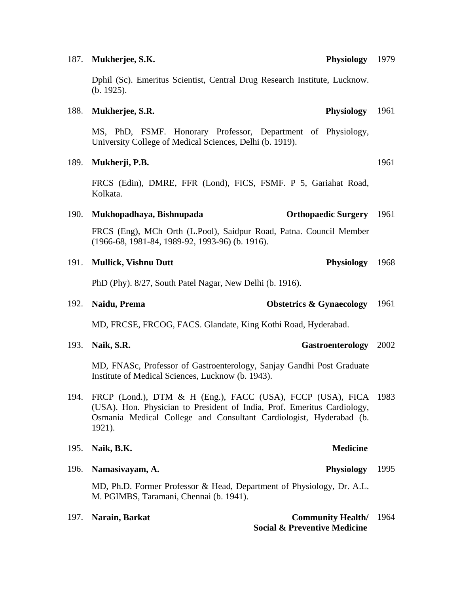### 187. **Mukherjee, S.K.**

Dphil (Sc). Emeritus Scientist, Central Drug Research Institute, Lucknow. (b. 1925).

### 188. **Mukherjee, S.R. Physiology**

MS, PhD, FSMF. Honorary Professor, Department of Physiology, University College of Medical Sciences, Delhi (b. 1919).

### 189. **Mukherji, P.B.**

FRCS (Edin), DMRE, FFR (Lond), FICS, FSMF. P 5, Gariahat Road, Kolkata.

### 190. **Mukhopadhaya, Bishnupada Orthopaedic Surgery** 1961

FRCS (Eng), MCh Orth (L.Pool), Saidpur Road, Patna. Council Member (1966-68, 1981-84, 1989-92, 1993-96) (b. 1916).

### 191. **Mullick, Vishnu Dutt Physiology**

PhD (Phy). 8/27, South Patel Nagar, New Delhi (b. 1916).

192. **Naidu, Prema Obstetrics & Gynaecology**  1961

MD, FRCSE, FRCOG, FACS. Glandate, King Kothi Road, Hyderabad.

193. **Naik, S.R. Gastroenterology** 2002

MD, FNASc, Professor of Gastroenterology, Sanjay Gandhi Post Graduate Institute of Medical Sciences, Lucknow (b. 1943).

194. FRCP (Lond.), DTM & H (Eng.), FACC (USA), FCCP (USA), FICA 1983 (USA). Hon. Physician to President of India, Prof. Emeritus Cardiology, Osmania Medical College and Consultant Cardiologist, Hyderabad (b. 1921).

| 195.<br>Naik, B.K. |  |
|--------------------|--|
|--------------------|--|

196. **Namasivayam, A. Physiology** 

MD, Ph.D. Former Professor & Head, Department of Physiology, Dr. A.L. M. PGIMBS, Taramani, Chennai (b. 1941).

197. **Narain, Barkat Community Health** 1964  **Social & Preventive Medicine**

1961

1961

1968

**Medicine**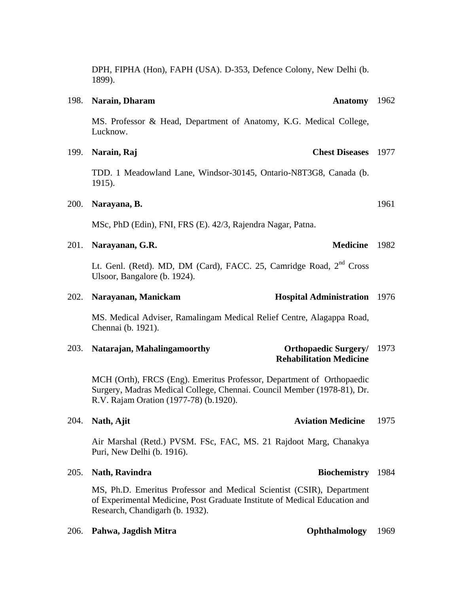Biochemistry 1984

DPH, FIPHA (Hon), FAPH (USA). D-353, Defence Colony, New Delhi (b. 1899).

### 198. **Narain, Dharam**

MS. Professor & Head, Department of Anatomy, K.G. Medical College, Lucknow.

199. **Narain, Raj Chest Diseases** 1977

TDD. 1 Meadowland Lane, Windsor-30145, Ontario-N8T3G8, Canada (b. 1915).

### 200. **Narayana, B.**

MSc, PhD (Edin), FNI, FRS (E). 42/3, Rajendra Nagar, Patna.

### 201. **Narayanan, G.R.**

Lt. Genl. (Retd). MD, DM (Card), FACC. 25, Camridge Road, 2<sup>nd</sup> Cross Ulsoor, Bangalore (b. 1924).

### 202. **Narayanan, Manickam**

MS. Medical Adviser, Ramalingam Medical Relief Centre, Alagappa Road, Chennai (b. 1921).

203. **Natarajan, Mahalingamoorthy Rehabilitation Medicine Orthopaedic Surgery/** 1973

MCH (Orth), FRCS (Eng). Emeritus Professor, Department of Orthopaedic Surgery, Madras Medical College, Chennai. Council Member (1978-81), Dr. R.V. Rajam Oration (1977-78) (b.1920).

### 204. **Nath, Ajit Aviation Medicine**

Air Marshal (Retd.) PVSM. FSc, FAC, MS. 21 Rajdoot Marg, Chanakya Puri, New Delhi (b. 1916).

### 205. **Nath, Ravindra**

MS, Ph.D. Emeritus Professor and Medical Scientist (CSIR), Department of Experimental Medicine, Post Graduate Institute of Medical Education and Research, Chandigarh (b. 1932).

## 206. **Pahwa, Jagdish Mitra Ophthalmology** 1969

## 1975

Medicine 1982

**Hospital Administration** 1976

### Anatomy 1962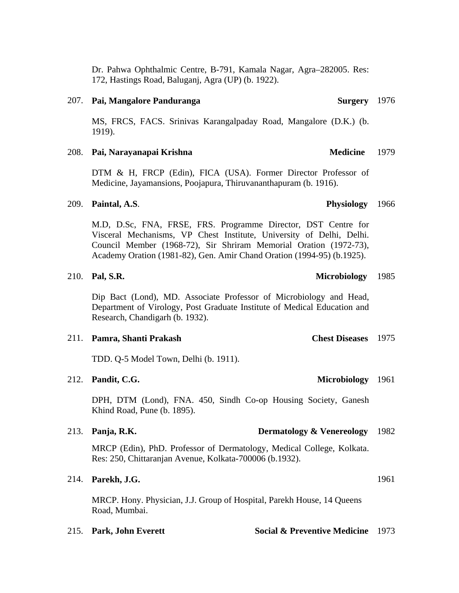Dr. Pahwa Ophthalmic Centre, B-791, Kamala Nagar, Agra–282005. Res: 172, Hastings Road, Baluganj, Agra (UP) (b. 1922).

### 207. **Pai, Mangalore Panduranga**

MS, FRCS, FACS. Srinivas Karangalpaday Road, Mangalore (D.K.) (b. 1919).

### 208. **Pai, Narayanapai Krishna Medicine**

DTM & H, FRCP (Edin), FICA (USA). Former Director Professor of Medicine, Jayamansions, Poojapura, Thiruvananthapuram (b. 1916).

### 209. **Paintal, A.S**. **Physiology**

M.D, D.Sc, FNA, FRSE, FRS. Programme Director, DST Centre for Visceral Mechanisms, VP Chest Institute, University of Delhi, Delhi. Council Member (1968-72), Sir Shriram Memorial Oration (1972-73), Academy Oration (1981-82), Gen. Amir Chand Oration (1994-95) (b.1925).

### 210. **Pal, S.R. Microbiology**  1985

Dip Bact (Lond), MD. Associate Professor of Microbiology and Head, Department of Virology, Post Graduate Institute of Medical Education and Research, Chandigarh (b. 1932).

### 211. **Pamra, Shanti Prakash**

TDD. Q-5 Model Town, Delhi (b. 1911).

### 212. **Pandit, C.G.**

DPH, DTM (Lond), FNA. 450, Sindh Co-op Housing Society, Ganesh Khind Road, Pune (b. 1895).

### 213. **Panja, R.K. Dermatology & Venereology**  1982

MRCP (Edin), PhD. Professor of Dermatology, Medical College, Kolkata. Res: 250, Chittaranjan Avenue, Kolkata-700006 (b.1932).

### 214. **Parekh, J.G.**

MRCP. Hony. Physician, J.J. Group of Hospital, Parekh House, 14 Queens Road, Mumbai.

215. **Park, John Everett Social & Preventive Medicine** 1973

# Surgery 1976

1979

1966

**Chest Diseases** 1975

Microbiology 1961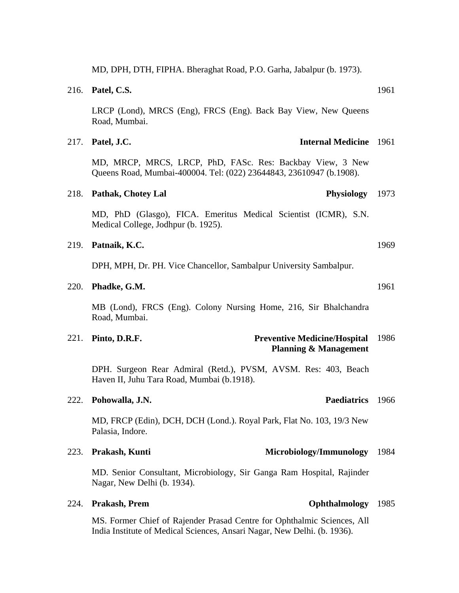MD, DPH, DTH, FIPHA. Bheraghat Road, P.O. Garha, Jabalpur (b. 1973).

|      | 216. Patel, C.S.                                                                                                                 | 1961 |
|------|----------------------------------------------------------------------------------------------------------------------------------|------|
|      | LRCP (Lond), MRCS (Eng), FRCS (Eng). Back Bay View, New Queens<br>Road, Mumbai.                                                  |      |
| 217. | Patel, J.C.<br><b>Internal Medicine</b> 1961                                                                                     |      |
|      | MD, MRCP, MRCS, LRCP, PhD, FASc. Res: Backbay View, 3 New<br>Queens Road, Mumbai-400004. Tel: (022) 23644843, 23610947 (b.1908). |      |
| 218. | <b>Pathak, Chotey Lal</b><br><b>Physiology</b>                                                                                   | 1973 |
|      | MD, PhD (Glasgo), FICA. Emeritus Medical Scientist (ICMR), S.N.<br>Medical College, Jodhpur (b. 1925).                           |      |
| 219. | Patnaik, K.C.                                                                                                                    | 1969 |
|      | DPH, MPH, Dr. PH. Vice Chancellor, Sambalpur University Sambalpur.                                                               |      |
| 220. | Phadke, G.M.                                                                                                                     | 1961 |
|      | MB (Lond), FRCS (Eng). Colony Nursing Home, 216, Sir Bhalchandra<br>Road, Mumbai.                                                |      |
| 221. | <b>Preventive Medicine/Hospital</b><br>Pinto, D.R.F.<br><b>Planning &amp; Management</b>                                         | 1986 |
|      | DPH. Surgeon Rear Admiral (Retd.), PVSM, AVSM. Res: 403, Beach<br>Haven II, Juhu Tara Road, Mumbai (b.1918).                     |      |
|      | <b>Paediatrics</b><br>222. Pohowalla, J.N.                                                                                       | 1966 |
|      | MD, FRCP (Edin), DCH, DCH (Lond.). Royal Park, Flat No. 103, 19/3 New<br>Palasia, Indore.                                        |      |
| 223. | Prakash, Kunti<br>Microbiology/Immunology                                                                                        | 1984 |
|      | MD. Senior Consultant, Microbiology, Sir Ganga Ram Hospital, Rajinder<br>Nagar, New Delhi (b. 1934).                             |      |
| 224. | Prakash, Prem<br>Ophthalmology                                                                                                   | 1985 |
|      | MS Former Chief of Raiender Prasad Centre for Ophthalmic Sciences All                                                            |      |

MS. Former Chief of Rajender Prasad Centre for Ophthalmic Sciences, All India Institute of Medical Sciences, Ansari Nagar, New Delhi. (b. 1936).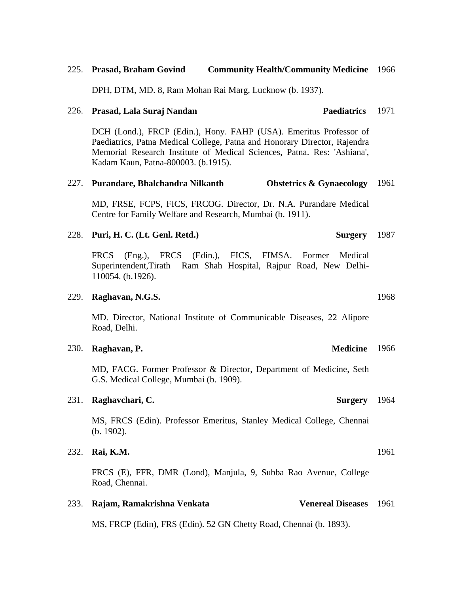### 225. **Prasad, Braham Govind Community Health/Community Medicine** 1966

DPH, DTM, MD. 8, Ram Mohan Rai Marg, Lucknow (b. 1937).

### 226. **Prasad, Lala Suraj Nandan Paediatrics**

DCH (Lond.), FRCP (Edin.), Hony. FAHP (USA). Emeritus Professor of Paediatrics, Patna Medical College, Patna and Honorary Director, Rajendra Memorial Research Institute of Medical Sciences, Patna. Res: 'Ashiana', Kadam Kaun, Patna-800003. (b.1915).

### 227. **Purandare, Bhalchandra Nilkanth Obstetrics & Gynaecology**  1961

MD, FRSE, FCPS, FICS, FRCOG. Director, Dr. N.A. Purandare Medical Centre for Family Welfare and Research, Mumbai (b. 1911).

### 228. **Puri, H. C.** (Lt. Genl. Retd.) Surgery 1987

FRCS (Eng.), FRCS (Edin.), FICS, FIMSA. Former Medical Superintendent,Tirath Ram Shah Hospital, Rajpur Road, New Delhi-110054. (b.1926).

### 229. **Raghavan, N.G.S.**

MD. Director, National Institute of Communicable Diseases, 22 Alipore Road, Delhi.

230. **Raghavan, P. Medicine** 

MD, FACG. Former Professor & Director, Department of Medicine, Seth G.S. Medical College, Mumbai (b. 1909).

### 231. **Raghavchari**, C.

MS, FRCS (Edin). Professor Emeritus, Stanley Medical College, Chennai (b. 1902).

### 232. **Rai, K.M.**

FRCS (E), FFR, DMR (Lond), Manjula, 9, Subba Rao Avenue, College Road, Chennai.

233. **Rajam, Ramakrishna Venkata Venereal Diseases** 1961

MS, FRCP (Edin), FRS (Edin). 52 GN Chetty Road, Chennai (b. 1893).

Surgery 1964

1961

# 1971

1968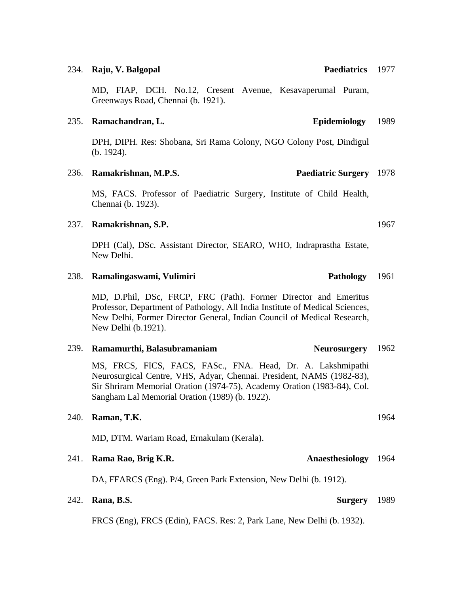MD, FIAP, DCH. No.12, Cresent Avenue, Kesavaperumal Puram, Greenways Road, Chennai (b. 1921).

## 235. **Ramachandran, L. Epidemiology**

DPH, DIPH. Res: Shobana, Sri Rama Colony, NGO Colony Post, Dindigul (b. 1924).

## 236. **Ramakrishnan, M.P.S.**

MS, FACS. Professor of Paediatric Surgery, Institute of Child Health, Chennai (b. 1923).

## 237. **Ramakrishnan, S.P.**

DPH (Cal), DSc. Assistant Director, SEARO, WHO, Indraprastha Estate, New Delhi.

### 238. **Ramalingaswami, Vulimiri Pathology**  1961

MD, D.Phil, DSc, FRCP, FRC (Path). Former Director and Emeritus Professor, Department of Pathology, All India Institute of Medical Sciences, New Delhi, Former Director General, Indian Council of Medical Research, New Delhi (b.1921).

### 239. **Ramamurthi, Balasubramaniam** Neurosurgery 1962

MS, FRCS, FICS, FACS, FASc., FNA. Head, Dr. A. Lakshmipathi Neurosurgical Centre, VHS, Adyar, Chennai. President, NAMS (1982-83), Sir Shriram Memorial Oration (1974-75), Academy Oration (1983-84), Col. Sangham Lal Memorial Oration (1989) (b. 1922).

## 240. **Raman, T.K.**

MD, DTM. Wariam Road, Ernakulam (Kerala).

## **241. Rama Rao, Brig K.R.**

DA, FFARCS (Eng). P/4, Green Park Extension, New Delhi (b. 1912).

## 242. **Rana, B.S. Surgery**

FRCS (Eng), FRCS (Edin), FACS. Res: 2, Park Lane, New Delhi (b. 1932).

### 234. **Raju, V. Balgopal**

1967

1989

Paediatrics 1977

Paediatric Surgery 1978

1989

## Anaesthesiology 1964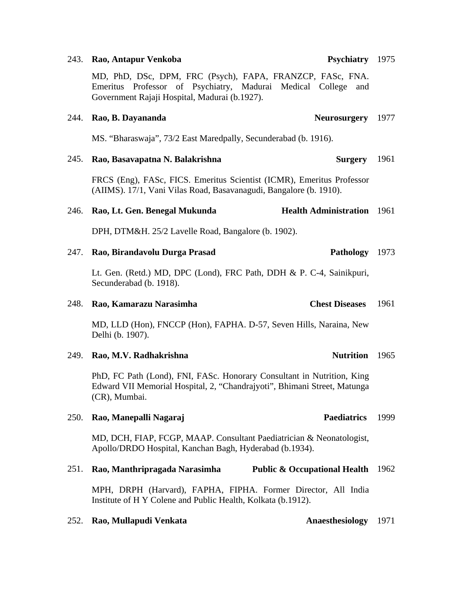### 243. **Rao, Antapur Venkoba**

MD, PhD, DSc, DPM, FRC (Psych), FAPA, FRANZCP, FASc, FNA. Emeritus Professor of Psychiatry, Madurai Medical College and Government Rajaji Hospital, Madurai (b.1927).

# 244. **Rao, B. Dayananda** MS. "Bharaswaja", 73/2 East Maredpally, Secunderabad (b. 1916). Neurosurgery 1977 245. **Rao, Basavapatna N. Balakrishna Surgery** FRCS (Eng), FASc, FICS. Emeritus Scientist (ICMR), Emeritus Professor (AIIMS). 17/1, Vani Vilas Road, Basavanagudi, Bangalore (b. 1910). 1961 246. **Rao, Lt. Gen. Benegal Mukunda** DPH, DTM&H. 25/2 Lavelle Road, Bangalore (b. 1902). **Health Administration** 1961 247. **Rao, Birandavolu Durga Prasad** Lt. Gen. (Retd.) MD, DPC (Lond), FRC Path, DDH & P. C-4, Sainikpuri, Secunderabad (b. 1918). 248. **Rao, Kamarazu Narasimha Chest Diseases** MD, LLD (Hon), FNCCP (Hon), FAPHA. D-57, Seven Hills, Naraina, New Delhi (b. 1907). 1961 249. **Rao, M.V. Radhakrishna** PhD, FC Path (Lond), FNI, FASc. Honorary Consultant in Nutrition, King Edward VII Memorial Hospital, 2, "Chandrajyoti", Bhimani Street, Matunga (CR), Mumbai. Nutrition 1965 250. **Rao, Manepalli Nagaraj Paediatrics**  MD, DCH, FIAP, FCGP, MAAP. Consultant Paediatrician & Neonatologist, Apollo/DRDO Hospital, Kanchan Bagh, Hyderabad (b.1934). 1999

251. **Rao, Manthripragada Narasimha Public & Occupational Health** 1962

MPH, DRPH (Harvard), FAPHA, FIPHA. Former Director, All India Institute of H Y Colene and Public Health, Kolkata (b.1912).

252. **Rao, Mullapudi Venkata Anaesthesiology** 1971

### Psychiatry 1975

Pathology 1973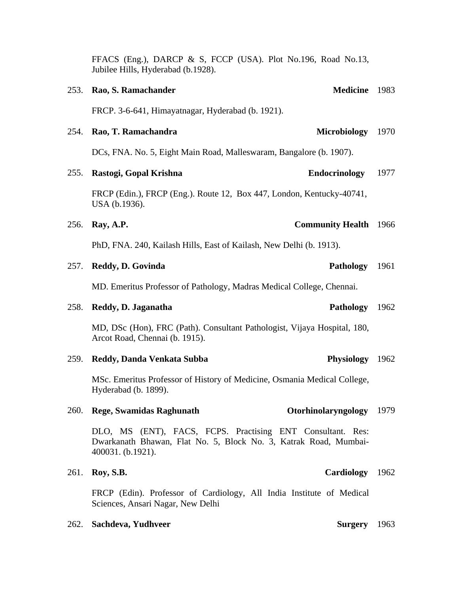|      | Jubilee Hills, Hyderabad (b.1928).                                                                                                                  |      |
|------|-----------------------------------------------------------------------------------------------------------------------------------------------------|------|
|      | <b>Medicine</b><br>253. Rao, S. Ramachander                                                                                                         | 1983 |
|      | FRCP. 3-6-641, Himayatnagar, Hyderabad (b. 1921).                                                                                                   |      |
| 254. | Rao, T. Ramachandra<br><b>Microbiology</b>                                                                                                          | 1970 |
|      | DCs, FNA. No. 5, Eight Main Road, Malleswaram, Bangalore (b. 1907).                                                                                 |      |
| 255. | <b>Endocrinology</b><br>Rastogi, Gopal Krishna                                                                                                      | 1977 |
|      | FRCP (Edin.), FRCP (Eng.). Route 12, Box 447, London, Kentucky-40741,<br>USA (b.1936).                                                              |      |
| 256. | <b>Community Health</b><br>Ray, A.P.                                                                                                                | 1966 |
|      | PhD, FNA. 240, Kailash Hills, East of Kailash, New Delhi (b. 1913).                                                                                 |      |
| 257. | Reddy, D. Govinda<br><b>Pathology</b>                                                                                                               | 1961 |
|      | MD. Emeritus Professor of Pathology, Madras Medical College, Chennai.                                                                               |      |
| 258. | Pathology<br>Reddy, D. Jaganatha                                                                                                                    | 1962 |
|      | MD, DSc (Hon), FRC (Path). Consultant Pathologist, Vijaya Hospital, 180,<br>Arcot Road, Chennai (b. 1915).                                          |      |
| 259. | Physiology 1962<br>Reddy, Danda Venkata Subba                                                                                                       |      |
|      | MSc. Emeritus Professor of History of Medicine, Osmania Medical College,<br>Hyderabad (b. 1899).                                                    |      |
|      | 260. Rege, Swamidas Raghunath<br>Otorhinolaryngology                                                                                                | 1979 |
|      | DLO, MS (ENT), FACS, FCPS. Practising ENT Consultant. Res:<br>Dwarkanath Bhawan, Flat No. 5, Block No. 3, Katrak Road, Mumbai-<br>400031. (b.1921). |      |
| 261. | Cardiology<br>Roy, S.B.                                                                                                                             | 1962 |
|      | FRCP (Edin). Professor of Cardiology, All India Institute of Medical<br>Sciences, Ansari Nagar, New Delhi                                           |      |
|      |                                                                                                                                                     |      |

FFACS (Eng.), DARCP & S, FCCP (USA). Plot No.196, Road No.13,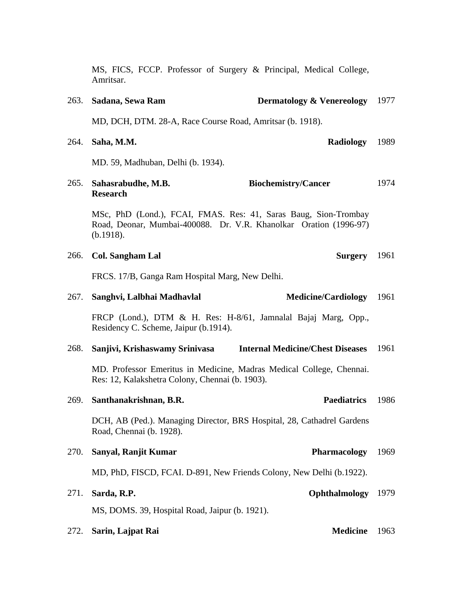|      | MS, FICS, FCCP. Professor of Surgery & Principal, Medical College,<br>Amritsar.                                                                   |      |
|------|---------------------------------------------------------------------------------------------------------------------------------------------------|------|
| 263. | Sadana, Sewa Ram<br><b>Dermatology &amp; Venereology</b>                                                                                          | 1977 |
|      | MD, DCH, DTM. 28-A, Race Course Road, Amritsar (b. 1918).                                                                                         |      |
| 264. | <b>Radiology</b><br>Saha, M.M.                                                                                                                    | 1989 |
|      | MD. 59, Madhuban, Delhi (b. 1934).                                                                                                                |      |
| 265. | Sahasrabudhe, M.B.<br><b>Biochemistry/Cancer</b><br><b>Research</b>                                                                               | 1974 |
|      | MSc, PhD (Lond.), FCAI, FMAS. Res: 41, Saras Baug, Sion-Trombay<br>Road, Deonar, Mumbai-400088. Dr. V.R. Khanolkar Oration (1996-97)<br>(b.1918). |      |
| 266. | <b>Col. Sangham Lal</b><br>Surgery                                                                                                                | 1961 |
|      | FRCS. 17/B, Ganga Ram Hospital Marg, New Delhi.                                                                                                   |      |
| 267. | <b>Medicine/Cardiology</b><br>Sanghvi, Lalbhai Madhavlal                                                                                          | 1961 |
|      | FRCP (Lond.), DTM & H. Res: H-8/61, Jamnalal Bajaj Marg, Opp.,<br>Residency C. Scheme, Jaipur (b.1914).                                           |      |
| 268. | Sanjivi, Krishaswamy Srinivasa<br><b>Internal Medicine/Chest Diseases</b>                                                                         | 1961 |
|      | MD. Professor Emeritus in Medicine, Madras Medical College, Chennai.<br>Res: 12, Kalakshetra Colony, Chennai (b. 1903).                           |      |
|      | 269. Santhanakrishnan, B.R.<br>Paediatrics 1986                                                                                                   |      |
|      | DCH, AB (Ped.). Managing Director, BRS Hospital, 28, Cathadrel Gardens<br>Road, Chennai (b. 1928).                                                |      |
| 270. | <b>Pharmacology</b><br>Sanyal, Ranjit Kumar                                                                                                       | 1969 |
|      | MD, PhD, FISCD, FCAI. D-891, New Friends Colony, New Delhi (b.1922).                                                                              |      |
| 271. | Sarda, R.P.<br>Ophthalmology                                                                                                                      | 1979 |
|      | MS, DOMS. 39, Hospital Road, Jaipur (b. 1921).                                                                                                    |      |
| 272. | <b>Medicine</b><br>Sarin, Lajpat Rai                                                                                                              | 1963 |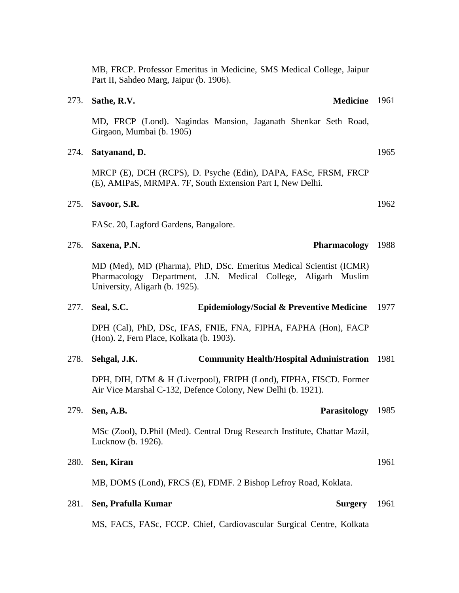MB, FRCP. Professor Emeritus in Medicine, SMS Medical College, Jaipur Part II, Sahdeo Marg, Jaipur (b. 1906).

### 273. **Sathe, R.V.**

MD, FRCP (Lond). Nagindas Mansion, Jaganath Shenkar Seth Road, Girgaon, Mumbai (b. 1905)

### 274. **Satyanand, D.**

MRCP (E), DCH (RCPS), D. Psyche (Edin), DAPA, FASc, FRSM, FRCP (E), AMIPaS, MRMPA. 7F, South Extension Part I, New Delhi.

### 275. **Savoor, S.R.**

FASc. 20, Lagford Gardens, Bangalore.

276. **Saxena, P.N.** 

MD (Med), MD (Pharma), PhD, DSc. Emeritus Medical Scientist (ICMR) Pharmacology Department, J.N. Medical College, Aligarh Muslim University, Aligarh (b. 1925).

### 277. **Seal, S.C. Epidemiology/Social & Preventive Medicine**  1977

DPH (Cal), PhD, DSc, IFAS, FNIE, FNA, FIPHA, FAPHA (Hon), FACP (Hon). 2, Fern Place, Kolkata (b. 1903).

### 278. **Sehgal, J.K. Community Health/Hospital Administration**  1981

DPH, DIH, DTM & H (Liverpool), FRIPH (Lond), FIPHA, FISCD. Former Air Vice Marshal C-132, Defence Colony, New Delhi (b. 1921).

MSc (Zool), D.Phil (Med). Central Drug Research Institute, Chattar Mazil, Lucknow (b. 1926).

## 280. **Sen, Kiran**

279. **Sen, A.B.** 

MB, DOMS (Lond), FRCS (E), FDMF. 2 Bishop Lefroy Road, Koklata.

### 281. **Sen, Prafulla Kumar**

MS, FACS, FASc, FCCP. Chief, Cardiovascular Surgical Centre, Kolkata

1962

1965

## Parasitology 1985

Surgery 1961

1961

## Pharmacology 1988

## Medicine 1961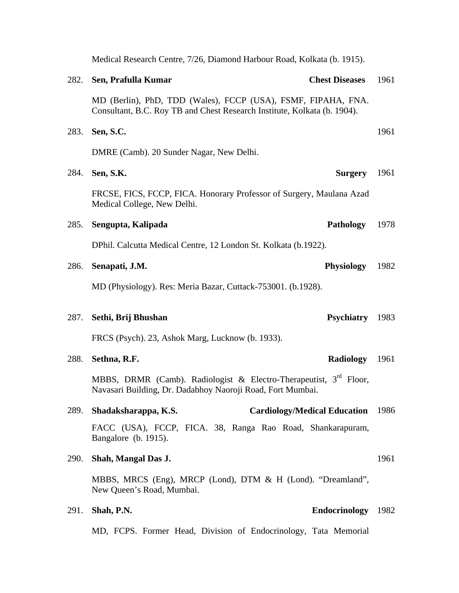|             | Medical Research Centre, 7/26, Diamond Harbour Road, Kolkata (b. 1915).                                                                     |                       |      |
|-------------|---------------------------------------------------------------------------------------------------------------------------------------------|-----------------------|------|
| 282.        | Sen, Prafulla Kumar                                                                                                                         | <b>Chest Diseases</b> | 1961 |
|             | MD (Berlin), PhD, TDD (Wales), FCCP (USA), FSMF, FIPAHA, FNA.<br>Consultant, B.C. Roy TB and Chest Research Institute, Kolkata (b. 1904).   |                       |      |
| 283.        | Sen, S.C.                                                                                                                                   |                       | 1961 |
|             | DMRE (Camb). 20 Sunder Nagar, New Delhi.                                                                                                    |                       |      |
| 284.        | Sen, S.K.                                                                                                                                   | <b>Surgery</b>        | 1961 |
|             | FRCSE, FICS, FCCP, FICA. Honorary Professor of Surgery, Maulana Azad<br>Medical College, New Delhi.                                         |                       |      |
| 285.        | Sengupta, Kalipada                                                                                                                          | Pathology             | 1978 |
|             | DPhil. Calcutta Medical Centre, 12 London St. Kolkata (b.1922).                                                                             |                       |      |
| 286.        | Senapati, J.M.                                                                                                                              | <b>Physiology</b>     | 1982 |
|             | MD (Physiology). Res: Meria Bazar, Cuttack-753001. (b.1928).                                                                                |                       |      |
| 287.        | Sethi, Brij Bhushan                                                                                                                         | <b>Psychiatry</b>     | 1983 |
|             | FRCS (Psych). 23, Ashok Marg, Lucknow (b. 1933).                                                                                            |                       |      |
| 288.        | Sethna, R.F.                                                                                                                                | <b>Radiology</b>      | 1961 |
|             | MBBS, DRMR (Camb). Radiologist & Electro-Therapeutist, 3 <sup>rd</sup> Floor,<br>Navasari Building, Dr. Dadabhoy Naoroji Road, Fort Mumbai. |                       |      |
| 289.        | <b>Cardiology/Medical Education</b><br>Shadaksharappa, K.S.                                                                                 |                       | 1986 |
|             | FACC (USA), FCCP, FICA. 38, Ranga Rao Road, Shankarapuram,<br>Bangalore (b. 1915).                                                          |                       |      |
| <b>290.</b> | Shah, Mangal Das J.                                                                                                                         |                       | 1961 |
|             | MBBS, MRCS (Eng), MRCP (Lond), DTM & H (Lond). "Dreamland",<br>New Queen's Road, Mumbai.                                                    |                       |      |
| 291.        | Shah, P.N.                                                                                                                                  | Endocrinology 1982    |      |
|             | MD, FCPS. Former Head, Division of Endocrinology, Tata Memorial                                                                             |                       |      |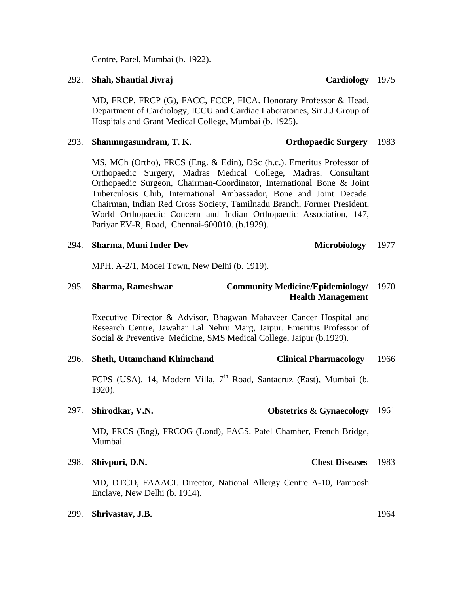Centre, Parel, Mumbai (b. 1922).

### 292. **Shah, Shantial Jivraj**

MD, FRCP, FRCP (G), FACC, FCCP, FICA. Honorary Professor & Head, Department of Cardiology, ICCU and Cardiac Laboratories, Sir J.J Group of Hospitals and Grant Medical College, Mumbai (b. 1925).

### 293. **Shanmugasundram, T. K. Orthopaedic Surgery** 1983

MS, MCh (Ortho), FRCS (Eng. & Edin), DSc (h.c.). Emeritus Professor of Orthopaedic Surgery, Madras Medical College, Madras. Consultant Orthopaedic Surgeon, Chairman-Coordinator, International Bone & Joint Tuberculosis Club, International Ambassador, Bone and Joint Decade. Chairman, Indian Red Cross Society, Tamilnadu Branch, Former President, World Orthopaedic Concern and Indian Orthopaedic Association, 147, Pariyar EV-R, Road, Chennai-600010. (b.1929).

### 294. **Sharma, Muni Inder Dev Microbiology**

MPH. A-2/1, Model Town, New Delhi (b. 1919).

## 295. **Sharma, Rameshwar Community Medicine/Epidemiology/**  1970  **Health Management**

Executive Director & Advisor, Bhagwan Mahaveer Cancer Hospital and Research Centre, Jawahar Lal Nehru Marg, Jaipur. Emeritus Professor of Social & Preventive Medicine, SMS Medical College, Jaipur (b.1929).

### 296. **Sheth, Uttamchand Khimchand Clinical Pharmacology**  1966

FCPS (USA). 14, Modern Villa, 7<sup>th</sup> Road, Santacruz (East), Mumbai (b. 1920).

### 297. **Shirodkar, V.N. Obstetrics & Gynaecology**  1961

MD, FRCS (Eng), FRCOG (Lond), FACS. Patel Chamber, French Bridge, Mumbai.

298. **Shivpuri, D.N.** 

MD, DTCD, FAAACI. Director, National Allergy Centre A-10, Pamposh Enclave, New Delhi (b. 1914).

### 299. **Shrivastav, J.B.** 1964

**Chest Diseases** 1983

## 1977

Cardiology 1975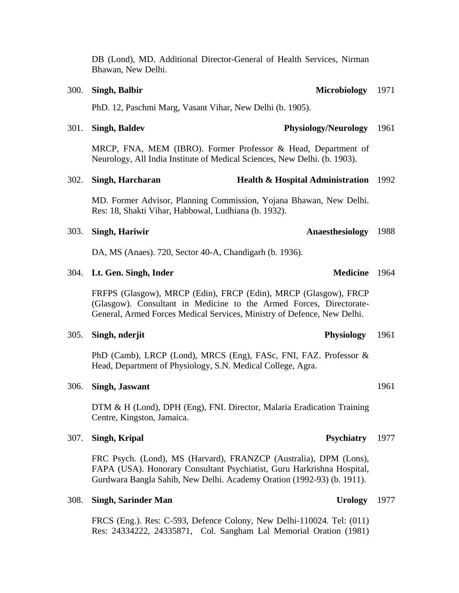DB (Lond), MD. Additional Director-General of Health Services, Nirman Bhawan, New Delhi.

## PhD. 12, Paschmi Marg, Vasant Vihar, New Delhi (b. 1905).

### 301. **Singh, Baldev Physiology/Neurology**

MRCP, FNA, MEM (IBRO). Former Professor & Head, Department of Neurology, All India Institute of Medical Sciences, New Delhi. (b. 1903).

### 302. **Singh, Harcharan Health & Hospital Administration**  1992

MD. Former Advisor, Planning Commission, Yojana Bhawan, New Delhi. Res: 18, Shakti Vihar, Habbowal, Ludhiana (b. 1932).

### 303. **Singh, Hariwir**

DA, MS (Anaes). 720, Sector 40-A, Chandigarh (b. 1936).

### 304. Lt. Gen. Singh, Inder

FRFPS (Glasgow), MRCP (Edin), FRCP (Edin), MRCP (Glasgow), FRCP (Glasgow). Consultant in Medicine to the Armed Forces, Directorate-General, Armed Forces Medical Services, Ministry of Defence, New Delhi.

### 305. **Singh, nderjit Physiology**

PhD (Camb), LRCP (Lond), MRCS (Eng), FASc, FNI, FAZ. Professor & Head, Department of Physiology, S.N. Medical College, Agra.

### 306. **Singh, Jaswant**

DTM & H (Lond), DPH (Eng), FNI. Director, Malaria Eradication Training Centre, Kingston, Jamaica.

### 307. **Singh, Kripal**

FRC Psych. (Lond), MS (Harvard), FRANZCP (Australia), DPM (Lons), FAPA (USA). Honorary Consultant Psychiatist, Guru Harkrishna Hospital, Gurdwara Bangla Sahib, New Delhi. Academy Oration (1992-93) (b. 1911).

### 308. **Singh, Sarinder Man**

FRCS (Eng.). Res: C-593, Defence Colony, New Delhi-110024. Tel: (011) Res: 24334222, 24335871, Col. Sangham Lal Memorial Oration (1981)

Anaesthesiology 1988

### 1961

Medicine 1964

Urology 1977

1961

### Psychiatry 1977

## **300. Singh, Balbir**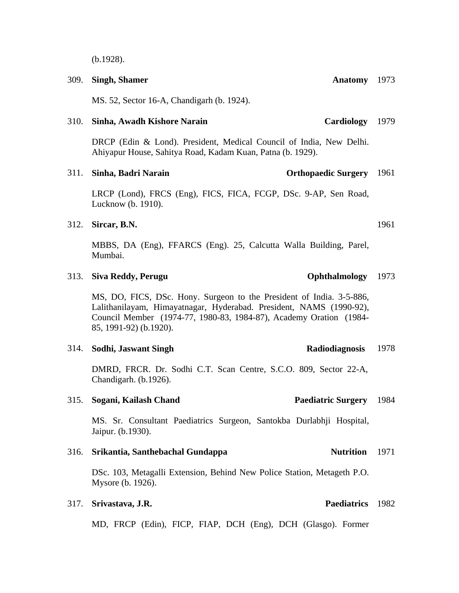(b.1928).

**309. Singh, Shamer** 

MS. 52, Sector 16-A, Chandigarh (b. 1924).

### 310. **Sinha, Awadh Kishore Narain** Cardiology 1979

DRCP (Edin & Lond). President, Medical Council of India, New Delhi. Ahiyapur House, Sahitya Road, Kadam Kuan, Patna (b. 1929).

### 311. **Sinha, Badri Narain**

LRCP (Lond), FRCS (Eng), FICS, FICA, FCGP, DSc. 9-AP, Sen Road, Lucknow (b. 1910).

### 312. **Sircar, B.N.**

MBBS, DA (Eng), FFARCS (Eng). 25, Calcutta Walla Building, Parel, Mumbai.

### 313. **Siva Reddy, Perugu**

MS, DO, FICS, DSc. Hony. Surgeon to the President of India. 3-5-886, Lalithanilayam, Himayatnagar, Hyderabad. President, NAMS (1990-92), Council Member (1974-77, 1980-83, 1984-87), Academy Oration (1984- 85, 1991-92) (b.1920).

### 314. **Sodhi, Jaswant Singh Radiodiagnosis**

DMRD, FRCR. Dr. Sodhi C.T. Scan Centre, S.C.O. 809, Sector 22-A, Chandigarh. (b.1926).

### 315. **Sogani, Kailash Chand**

MS. Sr. Consultant Paediatrics Surgeon, Santokba Durlabhji Hospital, Jaipur. (b.1930).

### 316. **Srikantia, Santhebachal Gundappa Nutrition**

DSc. 103, Metagalli Extension, Behind New Police Station, Metageth P.O. Mysore (b. 1926).

### **317. Srivastava, J.R.**

MD, FRCP (Edin), FICP, FIAP, DCH (Eng), DCH (Glasgo). Former

1961

### 1978

Ophthalmology 1973

Paediatric Surgery 1984

**Orthopaedic Surgery** 1961

Paediatrics 1982

1971

# Anatomy 1973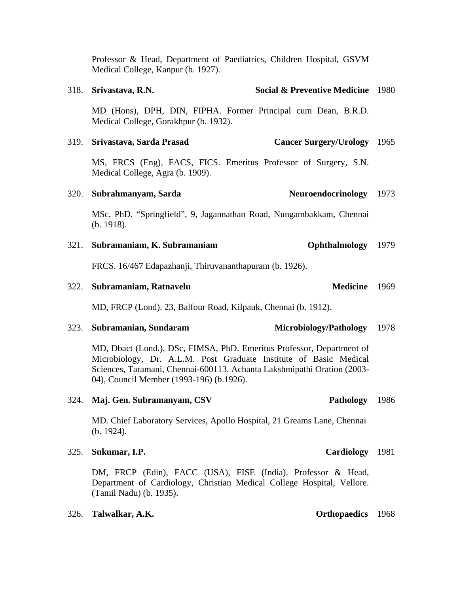Professor & Head, Department of Paediatrics, Children Hospital, GSVM Medical College, Kanpur (b. 1927).

318. **Srivastava, R.N. Social & Preventive Medicine** 1980

# MD (Hons), DPH, DIN, FIPHA. Former Principal cum Dean, B.R.D. Medical College, Gorakhpur (b. 1932). 319. **Srivastava, Sarda Prasad** MS, FRCS (Eng), FACS, FICS. Emeritus Professor of Surgery, S.N. Medical College, Agra (b. 1909). **Cancer Surgery/Urology** 1965 320. **Subrahmanyam, Sarda** MSc, PhD. "Springfield", 9, Jagannathan Road, Nungambakkam, Chennai (b. 1918). Neuroendocrinology 1973 321. **Subramaniam, K. Subramaniam** Ophthalmology 1979

FRCS. 16/467 Edapazhanji, Thiruvananthapuram (b. 1926).

### 322. **Subramaniam, Ratnavelu** Medicine 1969

MD, FRCP (Lond). 23, Balfour Road, Kilpauk, Chennai (b. 1912).

### 323. **Subramanian, Sundaram** Microbiology/Pathology 1978

MD, Dbact (Lond.), DSc, FIMSA, PhD. Emeritus Professor, Department of Microbiology, Dr. A.L.M. Post Graduate Institute of Basic Medical Sciences, Taramani, Chennai-600113. Achanta Lakshmipathi Oration (2003- 04), Council Member (1993-196) (b.1926).

324. Maj. Gen. Subramanyam, CSV

MD. Chief Laboratory Services, Apollo Hospital, 21 Greams Lane, Chennai (b. 1924).

**325. Sukumar, I.P.** 

DM, FRCP (Edin), FACC (USA), FISE (India). Professor & Head, Department of Cardiology, Christian Medical College Hospital, Vellore. (Tamil Nadu) (b. 1935).

326. **Talwalkar, A.K. Orthopaedics** 1968

Cardiology 1981

# Pathology 1986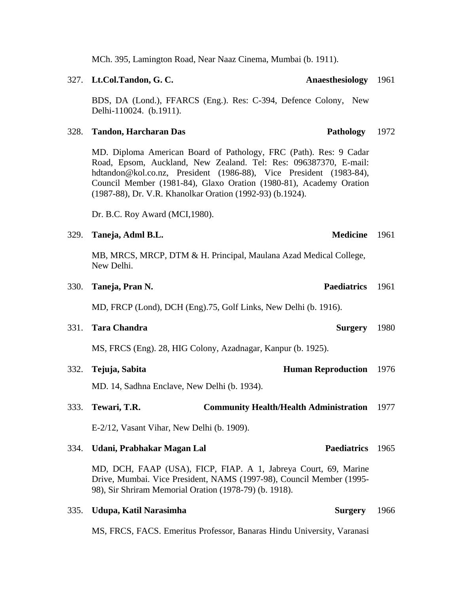MCh. 395, Lamington Road, Near Naaz Cinema, Mumbai (b. 1911).

### 327. **Lt.Col.Tandon, G. C.**

BDS, DA (Lond.), FFARCS (Eng.). Res: C-394, Defence Colony, New Delhi-110024. (b.1911).

### 328. **Tandon, Harcharan Das Pathology**

MD. Diploma American Board of Pathology, FRC (Path). Res: 9 Cadar Road, Epsom, Auckland, New Zealand. Tel: Res: 096387370, E-mail: hdtandon@kol.co.nz, President (1986-88), Vice President (1983-84), Council Member (1981-84), Glaxo Oration (1980-81), Academy Oration (1987-88), Dr. V.R. Khanolkar Oration (1992-93) (b.1924).

Dr. B.C. Roy Award (MCI,1980).

| 329. Taneja, Adml B.L. | <b>Medicine</b> 1961 |  |
|------------------------|----------------------|--|
|                        |                      |  |

MB, MRCS, MRCP, DTM & H. Principal, Maulana Azad Medical College, New Delhi.

| 330. Taneja, Pran N. | <b>Paediatrics</b> 1961 |  |
|----------------------|-------------------------|--|
|                      |                         |  |

MD, FRCP (Lond), DCH (Eng).75, Golf Links, New Delhi (b. 1916).

331. **Tara Chandra** Surgery 1980

MS, FRCS (Eng). 28, HIG Colony, Azadnagar, Kanpur (b. 1925).

332. **Tejuja, Sabita Human Reproduction**  1976

MD. 14, Sadhna Enclave, New Delhi (b. 1934).

### 333. **Tewari, T.R. Community Health/Health Administration**  1977

E-2/12, Vasant Vihar, New Delhi (b. 1909).

| 334. | Udani, Prabhakar Magan Lal | Paediatrics 1965 |  |
|------|----------------------------|------------------|--|
|------|----------------------------|------------------|--|

MD, DCH, FAAP (USA), FICP, FIAP. A 1, Jabreya Court, 69, Marine Drive, Mumbai. Vice President, NAMS (1997-98), Council Member (1995- 98), Sir Shriram Memorial Oration (1978-79) (b. 1918).

### 335. **Udupa, Katil Narasimha Surgery**

MS, FRCS, FACS. Emeritus Professor, Banaras Hindu University, Varanasi

Anaesthesiology 1961

## 1972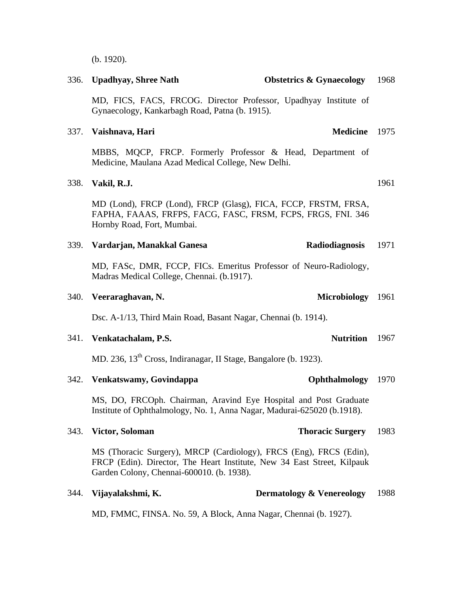MD, FICS, FACS, FRCOG. Director Professor, Upadhyay Institute of Gynaecology, Kankarbagh Road, Patna (b. 1915). 337. **Vaishnava, Hari** MBBS, MQCP, FRCP. Formerly Professor & Head, Department of Medicine, Maulana Azad Medical College, New Delhi. 338. **Vakil, R.J.** 

MD (Lond), FRCP (Lond), FRCP (Glasg), FICA, FCCP, FRSTM, FRSA, FAPHA, FAAAS, FRFPS, FACG, FASC, FRSM, FCPS, FRGS, FNI. 346 Hornby Road, Fort, Mumbai.

336. **Upadhyay, Shree Nath Obstetrics & Gynaecology** 

### 339. **Vardarjan, Manakkal Ganesa Radiodiagnosis**  1971

MD, FASc, DMR, FCCP, FICs. Emeritus Professor of Neuro-Radiology, Madras Medical College, Chennai. (b.1917).

### 340. **Veeraraghavan, N.**

Dsc. A-1/13, Third Main Road, Basant Nagar, Chennai (b. 1914).

### 341. **Venkatachalam, P.S.**

MD. 236, 13<sup>th</sup> Cross, Indiranagar, II Stage, Bangalore (b. 1923).

| 342. | Venkatswamy, Govindappa | <b>Ophthalmology</b> 1970 |  |
|------|-------------------------|---------------------------|--|
|      |                         |                           |  |

MS, DO, FRCOph. Chairman, Aravind Eye Hospital and Post Graduate Institute of Ophthalmology, No. 1, Anna Nagar, Madurai-625020 (b.1918).

## 343. **Victor, Soloman Thoracic Surgery**

MS (Thoracic Surgery), MRCP (Cardiology), FRCS (Eng), FRCS (Edin), FRCP (Edin). Director, The Heart Institute, New 34 East Street, Kilpauk Garden Colony, Chennai-600010. (b. 1938).

|  | 344. Vijayalakshmi, K. | <b>Dermatology &amp; Venereology</b> 1988 |  |
|--|------------------------|-------------------------------------------|--|
|--|------------------------|-------------------------------------------|--|

MD, FMMC, FINSA. No. 59, A Block, Anna Nagar, Chennai (b. 1927).

(b. 1920).

Microbiology 1961

Nutrition 1967

**Thoracic Surgery** 1983

1961

Medicine 1975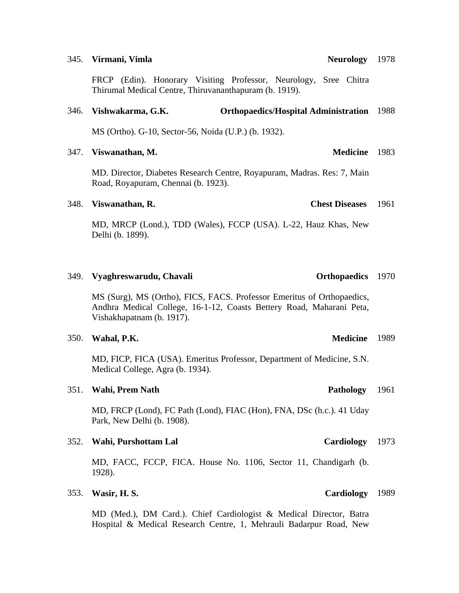### 345. **Virmani**, **Vimla**

FRCP (Edin). Honorary Visiting Professor, Neurology, Sree Chitra Thirumal Medical Centre, Thiruvananthapuram (b. 1919).

### 346. **Vishwakarma, G.K. Orthopaedics/Hospital Administration**  1988

MS (Ortho). G-10, Sector-56, Noida (U.P.) (b. 1932).

### 347. **Viswanathan, M.**

MD. Director, Diabetes Research Centre, Royapuram, Madras. Res: 7, Main Road, Royapuram, Chennai (b. 1923).

### 348. **Viswanathan, R. Chest Diseases**

MD, MRCP (Lond.), TDD (Wales), FCCP (USA). L-22, Hauz Khas, New Delhi (b. 1899).

### 349. **Vyaghreswarudu, Chavali**

MS (Surg), MS (Ortho), FICS, FACS. Professor Emeritus of Orthopaedics, Andhra Medical College, 16-1-12, Coasts Bettery Road, Maharani Peta, Vishakhapatnam (b. 1917).

## 350. **Wahal, P.K.**

MD, FICP, FICA (USA). Emeritus Professor, Department of Medicine, S.N. Medical College, Agra (b. 1934).

### 351. Wahi, Prem Nath **Pathology Pathology**

MD, FRCP (Lond), FC Path (Lond), FIAC (Hon), FNA, DSc (h.c.). 41 Uday Park, New Delhi (b. 1908).

### 352. Wahi, Purshottam Lal

MD, FACC, FCCP, FICA. House No. 1106, Sector 11, Chandigarh (b. 1928).

### 353. **Wasir, H. S.**

MD (Med.), DM Card.). Chief Cardiologist & Medical Director, Batra Hospital & Medical Research Centre, 1, Mehrauli Badarpur Road, New

Neurology 1978

# Orthopaedics 1970

# 1961

Cardiology 1973

Cardiology 1989

# 1961

Medicine 1983

Medicine 1989